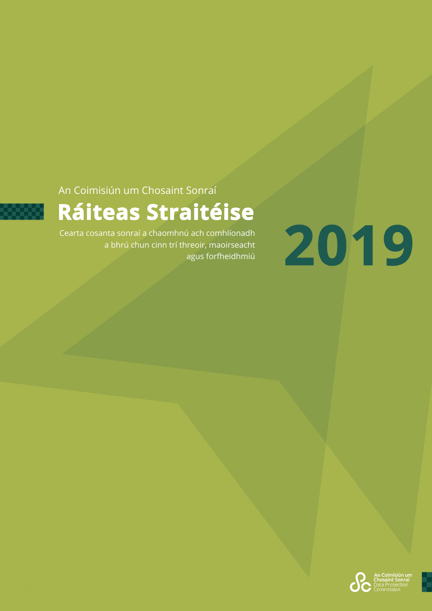An Coimisiún um Chosaint Sonraí



# Ráiteas Straitéise

Cearta cosanta sonraí a chaomhnú ach comhlíonadh a bhrú chun cinn trí threoir, maoirseacht agus forfheidhmiú



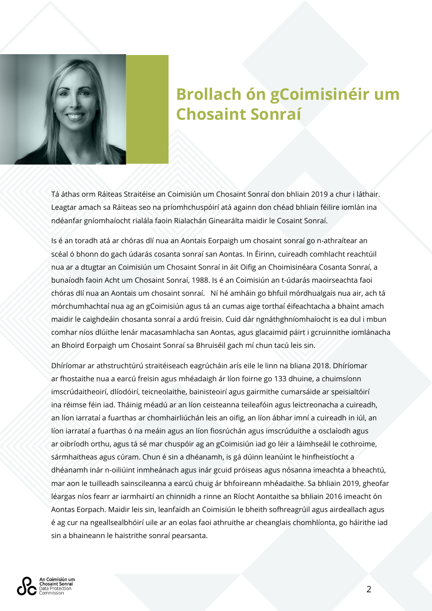

# **Brollach ón gCoimisinéir um Chosaint Sonraí**

Tá áthas orm Ráiteas Straitéise an Coimisiún um Chosaint Sonraí don bhliain 2019 a chur i láthair. Leagtar amach sa Ráiteas seo na príomhchuspóirí atá againn don chéad bhliain féilire iomlán ina ndéanfar gníomhaíocht rialála faoin Rialachán Ginearálta maidir le Cosaint Sonraí.

Is é an toradh atá ar chóras dlí nua an Aontais Eorpaigh um chosaint sonraí go n-athraítear an scéal ó bhonn do gach údarás cosanta sonraí san Aontas. In Éirinn, cuireadh comhlacht reachtúil nua ar a dtugtar an Coimisiún um Chosaint Sonraí in áit Oifig an Choimisinéara Cosanta Sonraí, a bunaíodh faoin Acht um Chosaint Sonraí, 1988. Is é an Coimisiún an t-údarás maoirseachta faoi chóras dlí nua an Aontais um chosaint sonraí. Ní hé amháin go bhfuil mórdhualgais nua air, ach tá mórchumhachtaí nua ag an gCoimisiún agus tá an cumas aige torthaí éifeachtacha a bhaint amach maidir le caighdeáin chosanta sonraí a ardú freisin. Cuid dár ngnáthghníomhaíocht is ea dul i mbun comhar níos dlúithe lenár macasamhlacha san Aontas, agus glacaimid páirt i gcruinnithe iomlánacha an Bhoird Eorpaigh um Chosaint Sonraí sa Bhruiséil gach mí chun tacú leis sin.

Dhíríomar ar athstruchtúrú straitéiseach eagrúcháin arís eile le linn na bliana 2018. Dhíríomar ar fhostaithe nua a earcú freisin agus mhéadaigh ár líon foirne go 133 dhuine, a chuimsíonn imscrúdaitheoirí, dlíodóirí, teicneolaithe, bainisteoirí agus gairmithe cumarsáide ar speisialtóirí ina réimse féin iad. Tháinig méadú ar an líon ceisteanna teileafóin agus leictreonacha a cuireadh, an líon iarrataí a fuarthas ar chomhairliúchán leis an oifig, an líon ábhar imní a cuireadh in iúl, an líon iarrataí a fuarthas ó na meáin agus an líon fiosrúchán agus imscrúduithe a osclaíodh agus ar oibríodh orthu, agus tá sé mar chuspóir ag an gCoimisiún iad go léir a láimhseáil le cothroime, sármhaitheas agus cúram. Chun é sin a dhéanamh, is gá dúinn leanúint le hinfheistíocht a dhéanamh inár n-oiliúint inmheánach agus inár gcuid próiseas agus nósanna imeachta a bheachtú, mar aon le tuilleadh sainscileanna a earcú chuig ár bhfoireann mhéadaithe. Sa bhliain 2019, gheofar léargas níos fearr ar iarmhairtí an chinnidh a rinne an Ríocht Aontaithe sa bhliain 2016 imeacht ón Aontas Eorpach. Maidir leis sin, leanfaidh an Coimisiún le bheith sofhreagrúil agus airdeallach agus é ag cur na ngeallsealbhóirí uile ar an eolas faoi athruithe ar cheanglais chomhlíonta, go háirithe iad sin a bhaineann le haistrithe sonraí pearsanta.

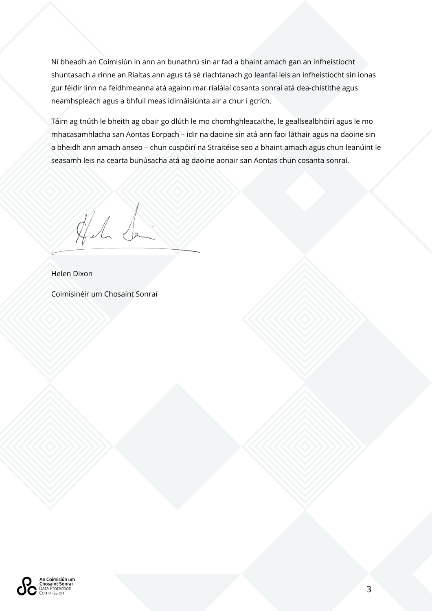Ní bheadh an Coimisiún in ann an bunathrú sin ar fad a bhaint amach gan an infheistíocht shuntasach a rinne an Rialtas ann agus tá sé riachtanach go leanfaí leis an infheistíocht sin ionas gur féidir linn na feidhmeanna atá againn mar rialálaí cosanta sonraí atá dea-chistithe agus neamhspleách agus a bhfuil meas idirnáisiúnta air a chur i gcrích.

Táim ag tnúth le bheith ag obair go dlúth le mo chomhghleacaithe, le geallsealbhóirí agus le mo mhacasamhlacha san Aontas Eorpach – idir na daoine sin atá ann faoi láthair agus na daoine sin a bheidh ann amach anseo – chun cuspóirí na Straitéise seo a bhaint amach agus chun leanúint le seasamh leis na cearta bunúsacha atá ag daoine aonair san Aontas chun cosanta sonraí.

All de

Helen Dixon

Coimisinéir um Chosaint Sonraí

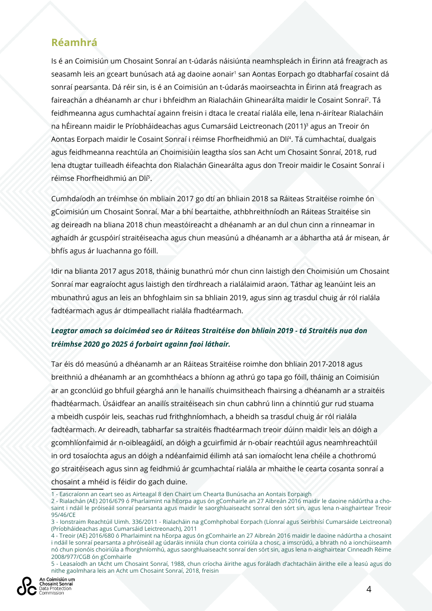## **Réamhrá**

Is é an Coimisiún um Chosaint Sonraí an t-údarás náisiúnta neamhspleách in Éirinn atá freagrach as seasamh leis an gceart bunúsach atá ag daoine aonair<sup>1</sup> san Aontas Eorpach go dtabharfaí cosaint dá sonraí pearsanta. Dá réir sin, is é an Coimisiún an t-údarás maoirseachta in Éirinn atá freagrach as faireachán a dhéanamh ar chur i bhfeidhm an Rialacháin Ghinearálta maidir le Cosaint Sonraí2. Tá feidhmeanna agus cumhachtaí againn freisin i dtaca le creataí rialála eile, lena n-áirítear Rialacháin na hÉireann maidir le Príobháideachas agus Cumarsáid Leictreonach (2011)<sup>3</sup> agus an Treoir ón Aontas Eorpach maidir le Cosaint Sonraí i réimse Fhorfheidhmiú an Dlí<sup>4</sup>. Tá cumhachtaí, dualgais agus feidhmeanna reachtúla an Choimisiúin leagtha síos san Acht um Chosaint Sonraí, 2018, rud lena dtugtar tuilleadh éifeachta don Rialachán Ginearálta agus don Treoir maidir le Cosaint Sonraí i réimse Fhorfheidhmiú an Dlí5.

Cumhdaíodh an tréimhse ón mbliain 2017 go dtí an bhliain 2018 sa Ráiteas Straitéise roimhe ón gCoimisiún um Chosaint Sonraí. Mar a bhí beartaithe, athbhreithníodh an Ráiteas Straitéise sin ag deireadh na bliana 2018 chun meastóireacht a dhéanamh ar an dul chun cinn a rinneamar in aghaidh ár gcuspóirí straitéiseacha agus chun measúnú a dhéanamh ar a ábhartha atá ár misean, ár bhfís agus ár luachanna go fóill.

Idir na blianta 2017 agus 2018, tháinig bunathrú mór chun cinn laistigh den Choimisiún um Chosaint Sonraí mar eagraíocht agus laistigh den tírdhreach a rialálaimid araon. Táthar ag leanúint leis an mbunathrú agus an leis an bhfoghlaim sin sa bhliain 2019, agus sinn ag trasdul chuig ár ról rialála fadtéarmach agus ár dtimpeallacht rialála fhadtéarmach.

#### *Leagtar amach sa doiciméad seo ár Ráiteas Straitéise don bhliain 2019 - tá Straitéis nua don tréimhse 2020 go 2025 á forbairt againn faoi láthair.*

Tar éis dó measúnú a dhéanamh ar an Ráiteas Straitéise roimhe don bhliain 2017-2018 agus breithniú a dhéanamh ar an gcomhthéacs a bhíonn ag athrú go tapa go fóill, tháinig an Coimisiún ar an gconclúid go bhfuil géarghá ann le hanailís chuimsitheach fhairsing a dhéanamh ar a straitéis fhadtéarmach. Úsáidfear an anailís straitéiseach sin chun cabhrú linn a chinntiú gur rud stuama a mbeidh cuspóir leis, seachas rud frithghníomhach, a bheidh sa trasdul chuig ár ról rialála fadtéarmach. Ar deireadh, tabharfar sa straitéis fhadtéarmach treoir dúinn maidir leis an dóigh a gcomhlíonfaimid ár n-oibleagáidí, an dóigh a gcuirfimid ár n-obair reachtúil agus neamhreachtúil in ord tosaíochta agus an dóigh a ndéanfaimid éilimh atá san iomaíocht lena chéile a chothromú go straitéiseach agus sinn ag feidhmiú ár gcumhachtaí rialála ar mhaithe le cearta cosanta sonraí a chosaint a mhéid is féidir do gach duine.

<sup>5 -</sup> Leasaíodh an tAcht um Chosaint Sonraí, 1988, chun críocha áirithe agus foráladh d'achtacháin áirithe eile a leasú agus do nithe gaolmhara leis an Acht um Chosaint Sonraí, 2018, freisin



<sup>1 -</sup> Eascraíonn an ceart seo as Airteagal 8 den Chairt um Chearta Bunúsacha an Aontais Eorpaigh

<sup>2 -</sup> Rialachán (AE) 2016/679 ó Pharlaimint na hEorpa agus ón gComhairle an 27 Aibreán 2016 maidir le daoine nádúrtha a chosaint i ndáil le próiseáil sonraí pearsanta agus maidir le saorghluaiseacht sonraí den sórt sin, agus lena n-aisghairtear Treoir 95/46/CE

<sup>3 -</sup> Ionstraim Reachtúil Uimh. 336/2011 - Rialacháin na gComhphobal Eorpach (Líonraí agus Seirbhísí Cumarsáide Leictreonaí) (Príobháideachas agus Cumarsáid Leictreonach), 2011

<sup>4 -</sup> Treoir (AE) 2016/680 ó Pharlaimint na hEorpa agus ón gComhairle an 27 Aibreán 2016 maidir le daoine nádúrtha a chosaint i ndáil le sonraí pearsanta a phróiseáil ag údaráis inniúla chun cionta coiriúla a chosc, a imscrúdú, a bhrath nó a ionchúiseamh nó chun pionóis choiriúla a fhorghníomhú, agus saorghluaiseacht sonraí den sórt sin, agus lena n-aisghairtear Cinneadh Réime 2008/977/CGB ón gComhairle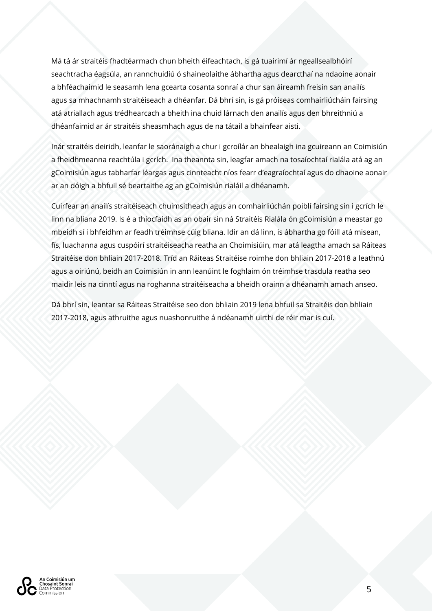Má tá ár straitéis fhadtéarmach chun bheith éifeachtach, is gá tuairimí ár ngeallsealbhóirí seachtracha éagsúla, an rannchuidiú ó shaineolaithe ábhartha agus dearcthaí na ndaoine aonair a bhféachaimid le seasamh lena gcearta cosanta sonraí a chur san áireamh freisin san anailís agus sa mhachnamh straitéiseach a dhéanfar. Dá bhrí sin, is gá próiseas comhairliúcháin fairsing atá atriallach agus trédhearcach a bheith ina chuid lárnach den anailís agus den bhreithniú a dhéanfaimid ar ár straitéis sheasmhach agus de na tátail a bhainfear aisti.

Inár straitéis deiridh, leanfar le saoránaigh a chur i gcroílár an bhealaigh ina gcuireann an Coimisiún a fheidhmeanna reachtúla i gcrích. Ina theannta sin, leagfar amach na tosaíochtaí rialála atá ag an gCoimisiún agus tabharfar léargas agus cinnteacht níos fearr d'eagraíochtaí agus do dhaoine aonair ar an dóigh a bhfuil sé beartaithe ag an gCoimisiún rialáil a dhéanamh.

Cuirfear an anailís straitéiseach chuimsitheach agus an comhairliúchán poiblí fairsing sin i gcrích le linn na bliana 2019. Is é a thiocfaidh as an obair sin ná Straitéis Rialála ón gCoimisiún a meastar go mbeidh sí i bhfeidhm ar feadh tréimhse cúig bliana. Idir an dá linn, is ábhartha go fóill atá misean, fís, luachanna agus cuspóirí straitéiseacha reatha an Choimisiúin, mar atá leagtha amach sa Ráiteas Straitéise don bhliain 2017-2018. Tríd an Ráiteas Straitéise roimhe don bhliain 2017-2018 a leathnú agus a oiriúnú, beidh an Coimisiún in ann leanúint le foghlaim ón tréimhse trasdula reatha seo maidir leis na cinntí agus na roghanna straitéiseacha a bheidh orainn a dhéanamh amach anseo.

Dá bhrí sin, leantar sa Ráiteas Straitéise seo don bhliain 2019 lena bhfuil sa Straitéis don bhliain 2017-2018, agus athruithe agus nuashonruithe á ndéanamh uirthi de réir mar is cuí.

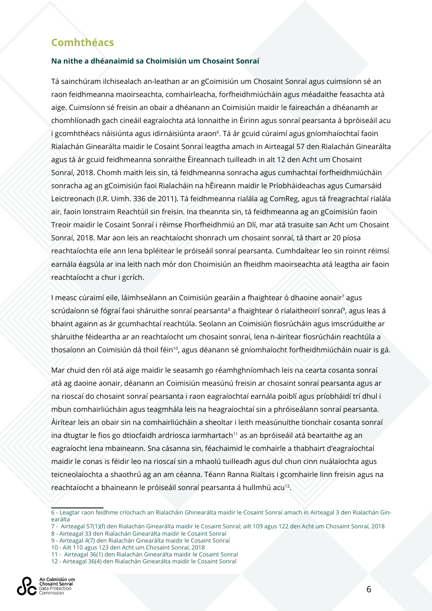### **Comhthéacs**

#### **Na nithe a dhéanaimid sa Choimisiún um Chosaint Sonraí**

Tá sainchúram ilchisealach an-leathan ar an gCoimisiún um Chosaint Sonraí agus cuimsíonn sé an raon feidhmeanna maoirseachta, comhairleacha, forfheidhmiúcháin agus méadaithe feasachta atá aige. Cuimsíonn sé freisin an obair a dhéanann an Coimisiún maidir le faireachán a dhéanamh ar chomhlíonadh gach cineáil eagraíochta atá lonnaithe in Éirinn agus sonraí pearsanta á bpróiseáil acu i gcomhthéacs náisiúnta agus idirnáisiúnta araon<sup>6</sup>. Tá ár gcuid cúraimí agus gníomhaíochtaí faoin Rialachán Ginearálta maidir le Cosaint Sonraí leagtha amach in Airteagal 57 den Rialachán Ginearálta agus tá ár gcuid feidhmeanna sonraithe Éireannach tuilleadh in alt 12 den Acht um Chosaint Sonraí, 2018. Chomh maith leis sin, tá feidhmeanna sonracha agus cumhachtaí forfheidhmiúcháin sonracha ag an gCoimisiún faoi Rialacháin na hÉireann maidir le Príobháideachas agus Cumarsáid Leictreonach (I.R. Uimh. 336 de 2011). Tá feidhmeanna rialála ag ComReg, agus tá freagrachtaí rialála air, faoin Ionstraim Reachtúil sin freisin. Ina theannta sin, tá feidhmeanna ag an gCoimisiún faoin Treoir maidir le Cosaint Sonraí i réimse Fhorfheidhmiú an Dlí, mar atá trasuite san Acht um Chosaint Sonraí, 2018. Mar aon leis an reachtaíocht shonrach um chosaint sonraí, tá thart ar 20 píosa reachtaíochta eile ann lena bpléitear le próiseáil sonraí pearsanta. Cumhdaítear leo sin roinnt réimsí earnála éagsúla ar ina leith nach mór don Choimisiún an fheidhm maoirseachta atá leagtha air faoin reachtaíocht a chur i gcrích.

I measc cúraimí eile, láimhseálann an Coimisiún gearáin a fhaightear ó dhaoine aonair<sup>7</sup> agus scrúdaíonn sé fógraí faoi sháruithe sonraí pearsanta<sup>8</sup> a fhaightear ó rialaitheoirí sonraí<sup>9</sup>, agus leas á bhaint againn as ár gcumhachtaí reachtúla. Seolann an Coimisiún fiosrúcháin agus imscrúduithe ar sháruithe féideartha ar an reachtaíocht um chosaint sonraí, lena n-áirítear fiosrúcháin reachtúla a thosaíonn an Coimisiún dá thoil féin<sup>10</sup>, agus déanann sé gníomhaíocht forfheidhmiúcháin nuair is gá.

Mar chuid den ról atá aige maidir le seasamh go réamhghníomhach leis na cearta cosanta sonraí atá ag daoine aonair, déanann an Coimisiún measúnú freisin ar chosaint sonraí pearsanta agus ar na rioscaí do chosaint sonraí pearsanta i raon eagraíochtaí earnála poiblí agus príobháidí trí dhul i mbun comhairliúcháin agus teagmhála leis na heagraíochtaí sin a phróiseálann sonraí pearsanta. Áirítear leis an obair sin na comhairliúcháin a sheoltar i leith measúnuithe tionchair cosanta sonraí ina dtugtar le fios go dtiocfaidh ardriosca iarmhartach<sup>11</sup> as an bpróiseáil atá beartaithe ag an eagraíocht lena mbaineann. Sna cásanna sin, féachaimid le comhairle a thabhairt d'eagraíochtaí maidir le conas is féidir leo na rioscaí sin a mhaolú tuilleadh agus dul chun cinn nuálaíochta agus teicneolaíochta a shaothrú ag an am céanna. Téann Ranna Rialtais i gcomhairle linn freisin agus na reachtaíocht a bhaineann le próiseáil sonraí pearsanta á hullmhú acu<sup>12</sup>.

<sup>6 -</sup> Leagtar raon feidhme críochach an Rialacháin Ghinearálta maidir le Cosaint Sonraí amach in Airteagal 3 den Rialachán Ginearálta

<sup>7 -</sup> Airteagal 57(1)(f) den Rialachán Ginearálta maidir le Cosaint Sonraí; ailt 109 agus 122 den Acht um Chosaint Sonraí, 2018 8 - Airteagal 33 den Rialachán Ginearálta maidir le Cosaint Sonraí

<sup>9 -</sup> Airteagal 4(7) den Rialachán Ginearálta maidir le Cosaint Sonraí

<sup>10 -</sup> Ailt 110 agus 123 den Acht um Chosaint Sonraí, 2018

<sup>11 -</sup> Airteagal 36(1) den Rialachán Ginearálta maidir le Cosaint Sonraí

<sup>12 -</sup> Airteagal 36(4) den Rialachán Ginearálta maidir le Cosaint Sonraí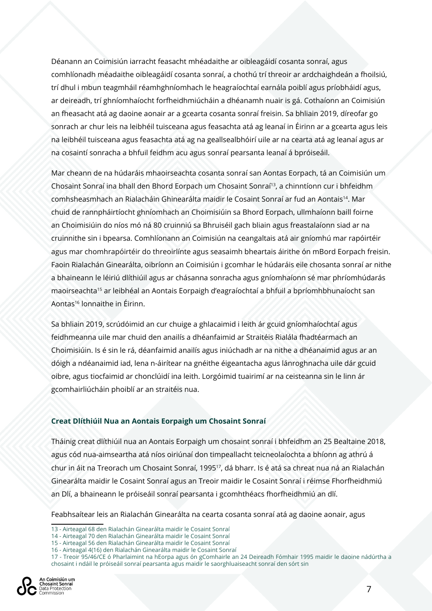Déanann an Coimisiún iarracht feasacht mhéadaithe ar oibleagáidí cosanta sonraí, agus comhlíonadh méadaithe oibleagáidí cosanta sonraí, a chothú trí threoir ar ardchaighdeán a fhoilsiú, trí dhul i mbun teagmháil réamhghníomhach le heagraíochtaí earnála poiblí agus príobháidí agus, ar deireadh, trí ghníomhaíocht forfheidhmiúcháin a dhéanamh nuair is gá. Cothaíonn an Coimisiún an fheasacht atá ag daoine aonair ar a gcearta cosanta sonraí freisin. Sa bhliain 2019, díreofar go sonrach ar chur leis na leibhéil tuisceana agus feasachta atá ag leanaí in Éirinn ar a gcearta agus leis na leibhéil tuisceana agus feasachta atá ag na geallsealbhóirí uile ar na cearta atá ag leanaí agus ar na cosaintí sonracha a bhfuil feidhm acu agus sonraí pearsanta leanaí á bpróiseáil.

Mar cheann de na húdaráis mhaoirseachta cosanta sonraí san Aontas Eorpach, tá an Coimisiún um Chosaint Sonraí ina bhall den Bhord Eorpach um Chosaint Sonraí<sup>13</sup>, a chinntíonn cur i bhfeidhm comhsheasmhach an Rialacháin Ghinearálta maidir le Cosaint Sonraí ar fud an Aontais14. Mar chuid de rannpháirtíocht ghníomhach an Choimisiúin sa Bhord Eorpach, ullmhaíonn baill foirne an Choimisiúin do níos mó ná 80 cruinniú sa Bhruiséil gach bliain agus freastalaíonn siad ar na cruinnithe sin i bpearsa. Comhlíonann an Coimisiún na ceangaltais atá air gníomhú mar rapóirtéir agus mar chomhrapóirtéir do threoirlínte agus seasaimh bheartais áirithe ón mBord Eorpach freisin. Faoin Rialachán Ginearálta, oibríonn an Coimisiún i gcomhar le húdaráis eile chosanta sonraí ar nithe a bhaineann le léiriú dlíthiúil agus ar chásanna sonracha agus gníomhaíonn sé mar phríomhúdarás maoirseachta15 ar leibhéal an Aontais Eorpaigh d'eagraíochtaí a bhfuil a bpríomhbhunaíocht san Aontas16 lonnaithe in Éirinn.

Sa bhliain 2019, scrúdóimid an cur chuige a ghlacaimid i leith ár gcuid gníomhaíochtaí agus feidhmeanna uile mar chuid den anailís a dhéanfaimid ar Straitéis Rialála fhadtéarmach an Choimisiúin. Is é sin le rá, déanfaimid anailís agus iniúchadh ar na nithe a dhéanaimid agus ar an dóigh a ndéanaimid iad, lena n-áirítear na gnéithe éigeantacha agus lánroghnacha uile dár gcuid oibre, agus tiocfaimid ar chonclúidí ina leith. Lorgóimid tuairimí ar na ceisteanna sin le linn ár gcomhairliúcháin phoiblí ar an straitéis nua.

#### **Creat Dlíthiúil Nua an Aontais Eorpaigh um Chosaint Sonraí**

Tháinig creat dlíthiúil nua an Aontais Eorpaigh um chosaint sonraí i bhfeidhm an 25 Bealtaine 2018, agus cód nua-aimseartha atá níos oiriúnaí don timpeallacht teicneolaíochta a bhíonn ag athrú á chur in áit na Treorach um Chosaint Sonraí, 199517, dá bharr. Is é atá sa chreat nua ná an Rialachán Ginearálta maidir le Cosaint Sonraí agus an Treoir maidir le Cosaint Sonraí i réimse Fhorfheidhmiú an Dlí, a bhaineann le próiseáil sonraí pearsanta i gcomhthéacs fhorfheidhmiú an dlí.

Feabhsaítear leis an Rialachán Ginearálta na cearta cosanta sonraí atá ag daoine aonair, agus

<sup>17 -</sup> Treoir 95/46/CE ó Pharlaimint na hEorpa agus ón gComhairle an 24 Deireadh Fómhair 1995 maidir le daoine nádúrtha a chosaint i ndáil le próiseáil sonraí pearsanta agus maidir le saorghluaiseacht sonraí den sórt sin



<sup>13 -</sup> Airteagal 68 den Rialachán Ginearálta maidir le Cosaint Sonraí

<sup>14 -</sup> Airteagal 70 den Rialachán Ginearálta maidir le Cosaint Sonraí

<sup>15 -</sup> Airteagal 56 den Rialachán Ginearálta maidir le Cosaint Sonraí

<sup>16 -</sup> Airteagal 4(16) den Rialachán Ginearálta maidir le Cosaint Sonraí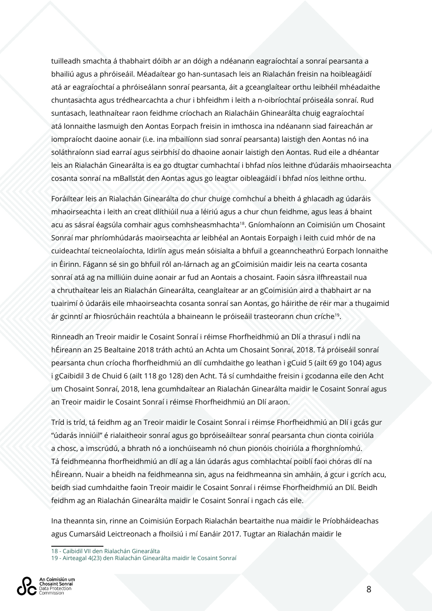tuilleadh smachta á thabhairt dóibh ar an dóigh a ndéanann eagraíochtaí a sonraí pearsanta a bhailiú agus a phróiseáil. Méadaítear go han-suntasach leis an Rialachán freisin na hoibleagáidí atá ar eagraíochtaí a phróiseálann sonraí pearsanta, áit a gceanglaítear orthu leibhéil mhéadaithe chuntasachta agus trédhearcachta a chur i bhfeidhm i leith a n-oibríochtaí próiseála sonraí. Rud suntasach, leathnaítear raon feidhme críochach an Rialacháin Ghinearálta chuig eagraíochtaí atá lonnaithe lasmuigh den Aontas Eorpach freisin in imthosca ina ndéanann siad faireachán ar iompraíocht daoine aonair (i.e. ina mbailíonn siad sonraí pearsanta) laistigh den Aontas nó ina soláthraíonn siad earraí agus seirbhísí do dhaoine aonair laistigh den Aontas. Rud eile a dhéantar leis an Rialachán Ginearálta is ea go dtugtar cumhachtaí i bhfad níos leithne d'údaráis mhaoirseachta cosanta sonraí na mBallstát den Aontas agus go leagtar oibleagáidí i bhfad níos leithne orthu.

Foráiltear leis an Rialachán Ginearálta do chur chuige comhchuí a bheith á ghlacadh ag údaráis mhaoirseachta i leith an creat dlíthiúil nua a léiriú agus a chur chun feidhme, agus leas á bhaint acu as sásraí éagsúla comhair agus comhsheasmhachta<sup>18</sup>. Gníomhaíonn an Coimisiún um Chosaint Sonraí mar phríomhúdarás maoirseachta ar leibhéal an Aontais Eorpaigh i leith cuid mhór de na cuideachtaí teicneolaíochta, Idirlín agus meán sóisialta a bhfuil a gceanncheathrú Eorpach lonnaithe in Éirinn. Fágann sé sin go bhfuil ról an-lárnach ag an gCoimisiún maidir leis na cearta cosanta sonraí atá ag na milliúin duine aonair ar fud an Aontais a chosaint. Faoin sásra ilfhreastail nua a chruthaítear leis an Rialachán Ginearálta, ceanglaítear ar an gCoimisiún aird a thabhairt ar na tuairimí ó údaráis eile mhaoirseachta cosanta sonraí san Aontas, go háirithe de réir mar a thugaimid ár gcinntí ar fhiosrúcháin reachtúla a bhaineann le próiseáil trasteorann chun críche19.

Rinneadh an Treoir maidir le Cosaint Sonraí i réimse Fhorfheidhmiú an Dlí a thrasuí i ndlí na hÉireann an 25 Bealtaine 2018 tráth achtú an Achta um Chosaint Sonraí, 2018. Tá próiseáil sonraí pearsanta chun críocha fhorfheidhmiú an dlí cumhdaithe go leathan i gCuid 5 (ailt 69 go 104) agus i gCaibidil 3 de Chuid 6 (ailt 118 go 128) den Acht. Tá sí cumhdaithe freisin i gcodanna eile den Acht um Chosaint Sonraí, 2018, lena gcumhdaítear an Rialachán Ginearálta maidir le Cosaint Sonraí agus an Treoir maidir le Cosaint Sonraí i réimse Fhorfheidhmiú an Dlí araon.

Tríd is tríd, tá feidhm ag an Treoir maidir le Cosaint Sonraí i réimse Fhorfheidhmiú an Dlí i gcás gur "údarás inniúil" é rialaitheoir sonraí agus go bpróiseáiltear sonraí pearsanta chun cionta coiriúla a chosc, a imscrúdú, a bhrath nó a ionchúiseamh nó chun pionóis choiriúla a fhorghníomhú. Tá feidhmeanna fhorfheidhmiú an dlí ag a lán údarás agus comhlachtaí poiblí faoi chóras dlí na hÉireann. Nuair a bheidh na feidhmeanna sin, agus na feidhmeanna sin amháin, á gcur i gcrích acu, beidh siad cumhdaithe faoin Treoir maidir le Cosaint Sonraí i réimse Fhorfheidhmiú an Dlí. Beidh feidhm ag an Rialachán Ginearálta maidir le Cosaint Sonraí i ngach cás eile.

Ina theannta sin, rinne an Coimisiún Eorpach Rialachán beartaithe nua maidir le Príobháideachas agus Cumarsáid Leictreonach a fhoilsiú i mí Eanáir 2017. Tugtar an Rialachán maidir le

<sup>19 -</sup> Airteagal 4(23) den Rialachán Ginearálta maidir le Cosaint Sonraí



<sup>18 -</sup> Caibidil VII den Rialachán Ginearálta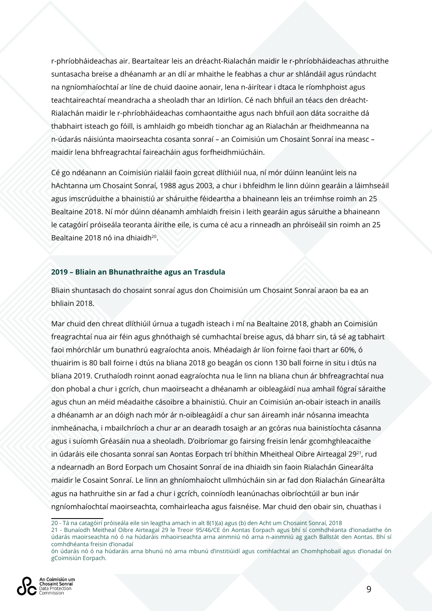r-phríobháideachas air. Beartaítear leis an dréacht-Rialachán maidir le r-phríobháideachas athruithe suntasacha breise a dhéanamh ar an dlí ar mhaithe le feabhas a chur ar shlándáil agus rúndacht na ngníomhaíochtaí ar líne de chuid daoine aonair, lena n-áirítear i dtaca le ríomhphoist agus teachtaireachtaí meandracha a sheoladh thar an Idirlíon. Cé nach bhfuil an téacs den dréacht-Rialachán maidir le r-phríobháideachas comhaontaithe agus nach bhfuil aon dáta socraithe dá thabhairt isteach go fóill, is amhlaidh go mbeidh tionchar ag an Rialachán ar fheidhmeanna na n-údarás náisiúnta maoirseachta cosanta sonraí – an Coimisiún um Chosaint Sonraí ina measc – maidir lena bhfreagrachtaí faireacháin agus forfheidhmiúcháin.

Cé go ndéanann an Coimisiún rialáil faoin gcreat dlíthiúil nua, ní mór dúinn leanúint leis na hAchtanna um Chosaint Sonraí, 1988 agus 2003, a chur i bhfeidhm le linn dúinn gearáin a láimhseáil agus imscrúduithe a bhainistiú ar sháruithe féideartha a bhaineann leis an tréimhse roimh an 25 Bealtaine 2018. Ní mór dúinn déanamh amhlaidh freisin i leith gearáin agus sáruithe a bhaineann le catagóirí próiseála teoranta áirithe eile, is cuma cé acu a rinneadh an phróiseáil sin roimh an 25 Bealtaine 2018 nó ina dhiaidh<sup>20</sup>.

#### **2019 – Bliain an Bhunathraithe agus an Trasdula**

Bliain shuntasach do chosaint sonraí agus don Choimisiún um Chosaint Sonraí araon ba ea an bhliain 2018.

Mar chuid den chreat dlíthiúil úrnua a tugadh isteach i mí na Bealtaine 2018, ghabh an Coimisiún freagrachtaí nua air féin agus ghnóthaigh sé cumhachtaí breise agus, dá bharr sin, tá sé ag tabhairt faoi mhórchlár um bunathrú eagraíochta anois. Mhéadaigh ár líon foirne faoi thart ar 60%, ó thuairim is 80 ball foirne i dtús na bliana 2018 go beagán os cionn 130 ball foirne in situ i dtús na bliana 2019. Cruthaíodh roinnt aonad eagraíochta nua le linn na bliana chun ár bhfreagrachtaí nua don phobal a chur i gcrích, chun maoirseacht a dhéanamh ar oibleagáidí nua amhail fógraí sáraithe agus chun an méid méadaithe cásoibre a bhainistiú. Chuir an Coimisiún an-obair isteach in anailís a dhéanamh ar an dóigh nach mór ár n-oibleagáidí a chur san áireamh inár nósanna imeachta inmheánacha, i mbailchríoch a chur ar an dearadh tosaigh ar an gcóras nua bainistíochta cásanna agus i suíomh Gréasáin nua a sheoladh. D'oibríomar go fairsing freisin lenár gcomhghleacaithe in údaráis eile chosanta sonraí san Aontas Eorpach trí bhíthin Mheitheal Oibre Airteagal 29<sup>21</sup>, rud a ndearnadh an Bord Eorpach um Chosaint Sonraí de ina dhiaidh sin faoin Rialachán Ginearálta maidir le Cosaint Sonraí. Le linn an ghníomhaíocht ullmhúcháin sin ar fad don Rialachán Ginearálta agus na hathruithe sin ar fad a chur i gcrích, coinníodh leanúnachas oibríochtúil ar bun inár ngníomhaíochtaí maoirseachta, comhairleacha agus faisnéise. Mar chuid den obair sin, chuathas i

21 - Bunaíodh Meitheal Oibre Airteagal 29 le Treoir 95/46/CE ón Aontas Eorpach agus bhí sí comhdhéanta d'ionadaithe ón údarás maoirseachta nó ó na húdaráis mhaoirseachta arna ainmniú nó arna n-ainmniú ag gach Ballstát den Aontas. Bhí sí comhdhéanta freisin d'ionadaí

ón údarás nó ó na húdaráis arna bhunú nó arna mbunú d'institiúidí agus comhlachtaí an Chomhphobail agus d'ionadaí ón gCoimisiún Eorpach.



<sup>20 -</sup> Tá na catagóirí próiseála eile sin leagtha amach in alt 8(1)(a) agus (b) den Acht um Chosaint Sonraí, 2018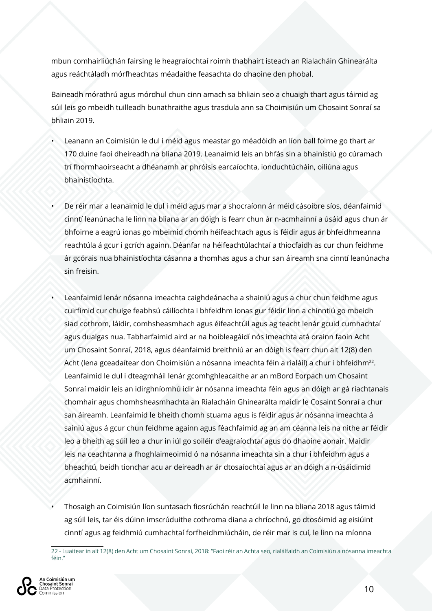mbun comhairliúchán fairsing le heagraíochtaí roimh thabhairt isteach an Rialacháin Ghinearálta agus reáchtáladh mórfheachtas méadaithe feasachta do dhaoine den phobal.

Baineadh mórathrú agus mórdhul chun cinn amach sa bhliain seo a chuaigh thart agus táimid ag súil leis go mbeidh tuilleadh bunathraithe agus trasdula ann sa Choimisiún um Chosaint Sonraí sa bhliain 2019.

- Leanann an Coimisiún le dul i méid agus meastar go méadóidh an líon ball foirne go thart ar 170 duine faoi dheireadh na bliana 2019. Leanaimid leis an bhfás sin a bhainistiú go cúramach trí fhormhaoirseacht a dhéanamh ar phróisis earcaíochta, ionduchtúcháin, oiliúna agus bhainistíochta.
- De réir mar a leanaimid le dul i méid agus mar a shocraíonn ár méid cásoibre síos, déanfaimid cinntí leanúnacha le linn na bliana ar an dóigh is fearr chun ár n-acmhainní a úsáid agus chun ár bhfoirne a eagrú ionas go mbeimid chomh héifeachtach agus is féidir agus ár bhfeidhmeanna reachtúla á gcur i gcrích againn. Déanfar na héifeachtúlachtaí a thiocfaidh as cur chun feidhme ár gcórais nua bhainistíochta cásanna a thomhas agus a chur san áireamh sna cinntí leanúnacha sin freisin.
- Leanfaimid lenár nósanna imeachta caighdeánacha a shainiú agus a chur chun feidhme agus cuirfimid cur chuige feabhsú cáilíochta i bhfeidhm ionas gur féidir linn a chinntiú go mbeidh siad cothrom, láidir, comhsheasmhach agus éifeachtúil agus ag teacht lenár gcuid cumhachtaí agus dualgas nua. Tabharfaimid aird ar na hoibleagáidí nós imeachta atá orainn faoin Acht um Chosaint Sonraí, 2018, agus déanfaimid breithniú ar an dóigh is fearr chun alt 12(8) den Acht (lena gceadaítear don Choimisiún a nósanna imeachta féin a rialáil) a chur i bhfeidhm<sup>22</sup>. Leanfaimid le dul i dteagmháil lenár gcomhghleacaithe ar an mBord Eorpach um Chosaint Sonraí maidir leis an idirghníomhú idir ár nósanna imeachta féin agus an dóigh ar gá riachtanais chomhair agus chomhsheasmhachta an Rialacháin Ghinearálta maidir le Cosaint Sonraí a chur san áireamh. Leanfaimid le bheith chomh stuama agus is féidir agus ár nósanna imeachta á sainiú agus á gcur chun feidhme againn agus féachfaimid ag an am céanna leis na nithe ar féidir leo a bheith ag súil leo a chur in iúl go soiléir d'eagraíochtaí agus do dhaoine aonair. Maidir leis na ceachtanna a fhoghlaimeoimid ó na nósanna imeachta sin a chur i bhfeidhm agus a bheachtú, beidh tionchar acu ar deireadh ar ár dtosaíochtaí agus ar an dóigh a n-úsáidimid acmhainní.
- Thosaigh an Coimisiún líon suntasach fiosrúchán reachtúil le linn na bliana 2018 agus táimid ag súil leis, tar éis dúinn imscrúduithe cothroma diana a chríochnú, go dtosóimid ag eisiúint cinntí agus ag feidhmiú cumhachtaí forfheidhmiúcháin, de réir mar is cuí, le linn na míonna

<sup>22 -</sup> Luaitear in alt 12(8) den Acht um Chosaint Sonraí, 2018: "Faoi réir an Achta seo, rialálfaidh an Coimisiún a nósanna imeachta féin."

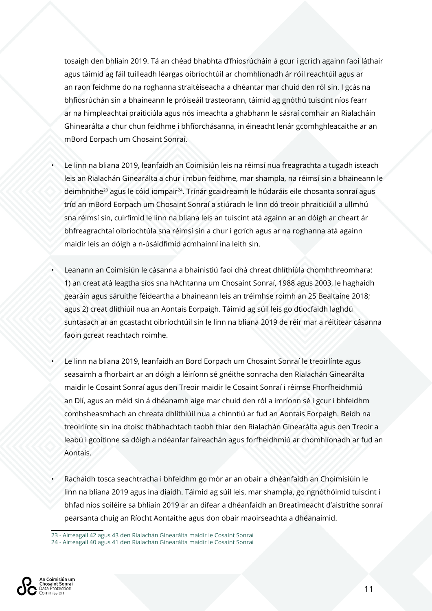tosaigh den bhliain 2019. Tá an chéad bhabhta d'fhiosrúcháin á gcur i gcrích againn faoi láthair agus táimid ag fáil tuilleadh léargas oibríochtúil ar chomhlíonadh ár róil reachtúil agus ar an raon feidhme do na roghanna straitéiseacha a dhéantar mar chuid den ról sin. I gcás na bhfiosrúchán sin a bhaineann le próiseáil trasteorann, táimid ag gnóthú tuiscint níos fearr ar na himpleachtaí praiticiúla agus nós imeachta a ghabhann le sásraí comhair an Rialacháin Ghinearálta a chur chun feidhme i bhfíorchásanna, in éineacht lenár gcomhghleacaithe ar an mBord Eorpach um Chosaint Sonraí.

- Le linn na bliana 2019, leanfaidh an Coimisiún leis na réimsí nua freagrachta a tugadh isteach leis an Rialachán Ginearálta a chur i mbun feidhme, mar shampla, na réimsí sin a bhaineann le deimhnithe<sup>23</sup> agus le cóid iompair<sup>24</sup>. Trínár gcaidreamh le húdaráis eile chosanta sonraí agus tríd an mBord Eorpach um Chosaint Sonraí a stiúradh le linn dó treoir phraiticiúil a ullmhú sna réimsí sin, cuirfimid le linn na bliana leis an tuiscint atá againn ar an dóigh ar cheart ár bhfreagrachtaí oibríochtúla sna réimsí sin a chur i gcrích agus ar na roghanna atá againn maidir leis an dóigh a n-úsáidfimid acmhainní ina leith sin.
- Leanann an Coimisiún le cásanna a bhainistiú faoi dhá chreat dhlíthiúla chomhthreomhara: 1) an creat atá leagtha síos sna hAchtanna um Chosaint Sonraí, 1988 agus 2003, le haghaidh gearáin agus sáruithe féideartha a bhaineann leis an tréimhse roimh an 25 Bealtaine 2018; agus 2) creat dlíthiúil nua an Aontais Eorpaigh. Táimid ag súil leis go dtiocfaidh laghdú suntasach ar an gcastacht oibríochtúil sin le linn na bliana 2019 de réir mar a réitítear cásanna faoin gcreat reachtach roimhe.
- Le linn na bliana 2019, leanfaidh an Bord Eorpach um Chosaint Sonraí le treoirlínte agus seasaimh a fhorbairt ar an dóigh a léiríonn sé gnéithe sonracha den Rialachán Ginearálta maidir le Cosaint Sonraí agus den Treoir maidir le Cosaint Sonraí i réimse Fhorfheidhmiú an Dlí, agus an méid sin á dhéanamh aige mar chuid den ról a imríonn sé i gcur i bhfeidhm comhsheasmhach an chreata dhlíthiúil nua a chinntiú ar fud an Aontais Eorpaigh. Beidh na treoirlínte sin ina dtoisc thábhachtach taobh thiar den Rialachán Ginearálta agus den Treoir a leabú i gcoitinne sa dóigh a ndéanfar faireachán agus forfheidhmiú ar chomhlíonadh ar fud an Aontais.
- Rachaidh tosca seachtracha i bhfeidhm go mór ar an obair a dhéanfaidh an Choimisiúin le linn na bliana 2019 agus ina diaidh. Táimid ag súil leis, mar shampla, go ngnóthóimid tuiscint i bhfad níos soiléire sa bhliain 2019 ar an difear a dhéanfaidh an Breatimeacht d'aistrithe sonraí pearsanta chuig an Ríocht Aontaithe agus don obair maoirseachta a dhéanaimid.

<sup>24 -</sup> Airteagail 40 agus 41 den Rialachán Ginearálta maidir le Cosaint Sonraí



<sup>23 -</sup> Airteagail 42 agus 43 den Rialachán Ginearálta maidir le Cosaint Sonraí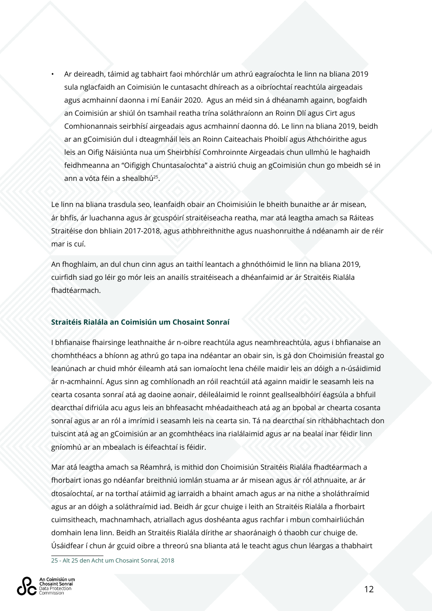• Ar deireadh, táimid ag tabhairt faoi mhórchlár um athrú eagraíochta le linn na bliana 2019 sula nglacfaidh an Coimisiún le cuntasacht dhíreach as a oibríochtaí reachtúla airgeadais agus acmhainní daonna i mí Eanáir 2020. Agus an méid sin á dhéanamh againn, bogfaidh an Coimisiún ar shiúl ón tsamhail reatha trína soláthraíonn an Roinn Dlí agus Cirt agus Comhionannais seirbhísí airgeadais agus acmhainní daonna dó. Le linn na bliana 2019, beidh ar an gCoimisiún dul i dteagmháil leis an Roinn Caiteachais Phoiblí agus Athchóirithe agus leis an Oifig Náisiúnta nua um Sheirbhísí Comhroinnte Airgeadais chun ullmhú le haghaidh feidhmeanna an "Oifigigh Chuntasaíochta" a aistriú chuig an gCoimisiún chun go mbeidh sé in ann a vóta féin a shealbhú25.

Le linn na bliana trasdula seo, leanfaidh obair an Choimisiúin le bheith bunaithe ar ár misean, ár bhfís, ár luachanna agus ár gcuspóirí straitéiseacha reatha, mar atá leagtha amach sa Ráiteas Straitéise don bhliain 2017-2018, agus athbhreithnithe agus nuashonruithe á ndéanamh air de réir mar is cuí.

An fhoghlaim, an dul chun cinn agus an taithí leantach a ghnóthóimid le linn na bliana 2019, cuirfidh siad go léir go mór leis an anailís straitéiseach a dhéanfaimid ar ár Straitéis Rialála fhadtéarmach.

#### **Straitéis Rialála an Coimisiún um Chosaint Sonraí**

I bhfianaise fhairsinge leathnaithe ár n-oibre reachtúla agus neamhreachtúla, agus i bhfianaise an chomhthéacs a bhíonn ag athrú go tapa ina ndéantar an obair sin, is gá don Choimisiún freastal go leanúnach ar chuid mhór éileamh atá san iomaíocht lena chéile maidir leis an dóigh a n-úsáidimid ár n-acmhainní. Agus sinn ag comhlíonadh an róil reachtúil atá againn maidir le seasamh leis na cearta cosanta sonraí atá ag daoine aonair, déileálaimid le roinnt geallsealbhóirí éagsúla a bhfuil dearcthaí difriúla acu agus leis an bhfeasacht mhéadaitheach atá ag an bpobal ar chearta cosanta sonraí agus ar an ról a imrímid i seasamh leis na cearta sin. Tá na dearcthaí sin ríthábhachtach don tuiscint atá ag an gCoimisiún ar an gcomhthéacs ina rialálaimid agus ar na bealaí inar féidir linn gníomhú ar an mbealach is éifeachtaí is féidir.

Mar atá leagtha amach sa Réamhrá, is mithid don Choimisiún Straitéis Rialála fhadtéarmach a fhorbairt ionas go ndéanfar breithniú iomlán stuama ar ár misean agus ár ról athnuaite, ar ár dtosaíochtaí, ar na torthaí atáimid ag iarraidh a bhaint amach agus ar na nithe a sholáthraímid agus ar an dóigh a soláthraímid iad. Beidh ár gcur chuige i leith an Straitéis Rialála a fhorbairt cuimsitheach, machnamhach, atriallach agus doshéanta agus rachfar i mbun comhairliúchán domhain lena linn. Beidh an Straitéis Rialála dírithe ar shaoránaigh ó thaobh cur chuige de. Úsáidfear í chun ár gcuid oibre a threorú sna blianta atá le teacht agus chun léargas a thabhairt

25 - Alt 25 den Acht um Chosaint Sonraí, 2018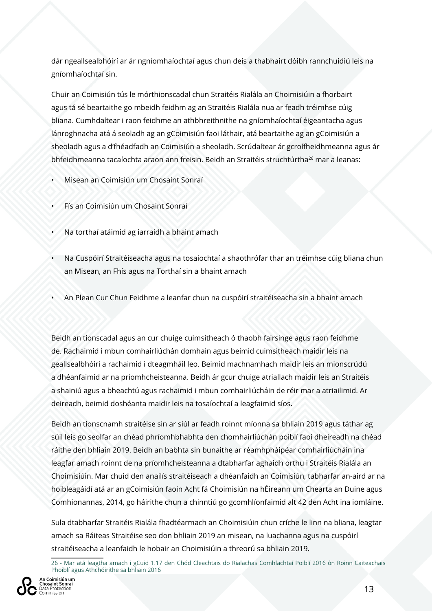dár ngeallsealbhóirí ar ár ngníomhaíochtaí agus chun deis a thabhairt dóibh rannchuidiú leis na gníomhaíochtaí sin.

Chuir an Coimisiún tús le mórthionscadal chun Straitéis Rialála an Choimisiúin a fhorbairt agus tá sé beartaithe go mbeidh feidhm ag an Straitéis Rialála nua ar feadh tréimhse cúig bliana. Cumhdaítear i raon feidhme an athbhreithnithe na gníomhaíochtaí éigeantacha agus lánroghnacha atá á seoladh ag an gCoimisiún faoi láthair, atá beartaithe ag an gCoimisiún a sheoladh agus a d'fhéadfadh an Coimisiún a sheoladh. Scrúdaítear ár gcroífheidhmeanna agus ár bhfeidhmeanna tacaíochta araon ann freisin. Beidh an Straitéis struchtúrtha<sup>26</sup> mar a leanas:

- Misean an Coimisiún um Chosaint Sonraí
- Fís an Coimisiún um Chosaint Sonraí
- Na torthaí atáimid ag iarraidh a bhaint amach
- Na Cuspóirí Straitéiseacha agus na tosaíochtaí a shaothrófar thar an tréimhse cúig bliana chun an Misean, an Fhís agus na Torthaí sin a bhaint amach
- An Plean Cur Chun Feidhme a leanfar chun na cuspóirí straitéiseacha sin a bhaint amach

Beidh an tionscadal agus an cur chuige cuimsitheach ó thaobh fairsinge agus raon feidhme de. Rachaimid i mbun comhairliúchán domhain agus beimid cuimsitheach maidir leis na geallsealbhóirí a rachaimid i dteagmháil leo. Beimid machnamhach maidir leis an mionscrúdú a dhéanfaimid ar na príomhcheisteanna. Beidh ár gcur chuige atriallach maidir leis an Straitéis a shainiú agus a bheachtú agus rachaimid i mbun comhairliúcháin de réir mar a atriailimid. Ar deireadh, beimid doshéanta maidir leis na tosaíochtaí a leagfaimid síos.

Beidh an tionscnamh straitéise sin ar siúl ar feadh roinnt míonna sa bhliain 2019 agus táthar ag súil leis go seolfar an chéad phríomhbhabhta den chomhairliúchán poiblí faoi dheireadh na chéad ráithe den bhliain 2019. Beidh an babhta sin bunaithe ar réamhpháipéar comhairliúcháin ina leagfar amach roinnt de na príomhcheisteanna a dtabharfar aghaidh orthu i Straitéis Rialála an Choimisiúin. Mar chuid den anailís straitéiseach a dhéanfaidh an Coimisiún, tabharfar an-aird ar na hoibleagáidí atá ar an gCoimisiún faoin Acht fá Choimisiún na hÉireann um Chearta an Duine agus Comhionannas, 2014, go háirithe chun a chinntiú go gcomhlíonfaimid alt 42 den Acht ina iomláine.

Sula dtabharfar Straitéis Rialála fhadtéarmach an Choimisiúin chun críche le linn na bliana, leagtar amach sa Ráiteas Straitéise seo don bhliain 2019 an misean, na luachanna agus na cuspóirí straitéiseacha a leanfaidh le hobair an Choimisiúin a threorú sa bhliain 2019.

<sup>26 -</sup> Mar atá leagtha amach i gCuid 1.17 den Chód Cleachtais do Rialachas Comhlachtaí Poiblí 2016 ón Roinn Caiteachais Phoiblí agus Athchóirithe sa bhliain 2016

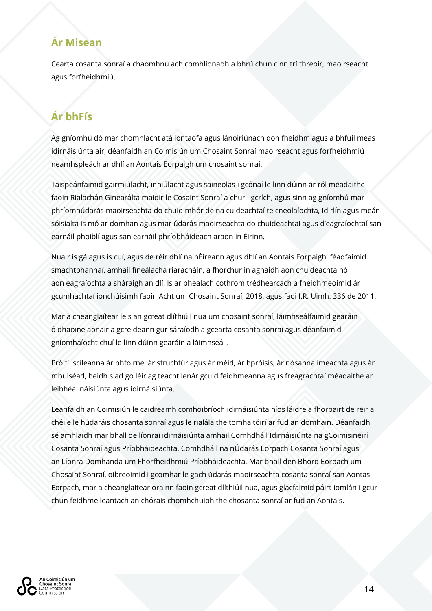# **Ár Misean**

Cearta cosanta sonraí a chaomhnú ach comhlíonadh a bhrú chun cinn trí threoir, maoirseacht agus forfheidhmiú.

# **Ár bhFís**

Ag gníomhú dó mar chomhlacht atá iontaofa agus lánoiriúnach don fheidhm agus a bhfuil meas idirnáisiúnta air, déanfaidh an Coimisiún um Chosaint Sonraí maoirseacht agus forfheidhmiú neamhspleách ar dhlí an Aontais Eorpaigh um chosaint sonraí.

Taispeánfaimid gairmiúlacht, inniúlacht agus saineolas i gcónaí le linn dúinn ár ról méadaithe faoin Rialachán Ginearálta maidir le Cosaint Sonraí a chur i gcrích, agus sinn ag gníomhú mar phríomhúdarás maoirseachta do chuid mhór de na cuideachtaí teicneolaíochta, Idirlín agus meán sóisialta is mó ar domhan agus mar údarás maoirseachta do chuideachtaí agus d'eagraíochtaí san earnáil phoiblí agus san earnáil phríobháideach araon in Éirinn.

Nuair is gá agus is cuí, agus de réir dhlí na hÉireann agus dhlí an Aontais Eorpaigh, féadfaimid smachtbhannaí, amhail fíneálacha riaracháin, a fhorchur in aghaidh aon chuideachta nó aon eagraíochta a sháraigh an dlí. Is ar bhealach cothrom trédhearcach a fheidhmeoimid ár gcumhachtaí ionchúisimh faoin Acht um Chosaint Sonraí, 2018, agus faoi I.R. Uimh. 336 de 2011.

Mar a cheanglaítear leis an gcreat dlíthiúil nua um chosaint sonraí, láimhseálfaimid gearáin ó dhaoine aonair a gcreideann gur sáraíodh a gcearta cosanta sonraí agus déanfaimid gníomhaíocht chuí le linn dúinn gearáin a láimhseáil.

Próifíl scileanna ár bhfoirne, ár struchtúr agus ár méid, ár bpróisis, ár nósanna imeachta agus ár mbuiséad, beidh siad go léir ag teacht lenár gcuid feidhmeanna agus freagrachtaí méadaithe ar leibhéal náisiúnta agus idirnáisiúnta.

Leanfaidh an Coimisiún le caidreamh comhoibríoch idirnáisiúnta níos láidre a fhorbairt de réir a chéile le húdaráis chosanta sonraí agus le rialálaithe tomhaltóirí ar fud an domhain. Déanfaidh sé amhlaidh mar bhall de líonraí idirnáisiúnta amhail Comhdháil Idirnáisiúnta na gCoimisinéirí Cosanta Sonraí agus Príobháideachta, Comhdháil na nÚdarás Eorpach Cosanta Sonraí agus an Líonra Domhanda um Fhorfheidhmiú Príobháideachta. Mar bhall den Bhord Eorpach um Chosaint Sonraí, oibreoimid i gcomhar le gach údarás maoirseachta cosanta sonraí san Aontas Eorpach, mar a cheanglaítear orainn faoin gcreat dlíthiúil nua, agus glacfaimid páirt iomlán i gcur chun feidhme leantach an chórais chomhchuibhithe chosanta sonraí ar fud an Aontais.

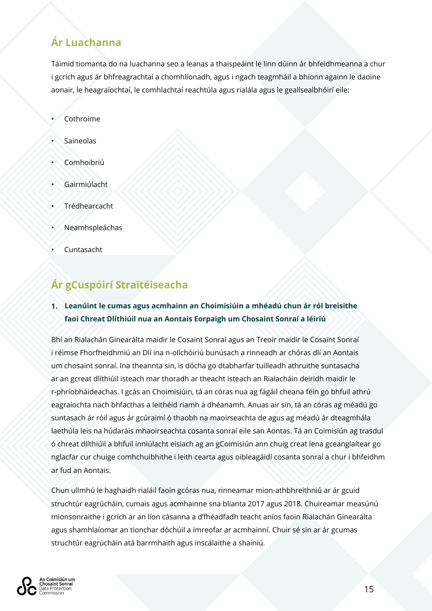# **Ár Luachanna**

Táimid tiomanta do na luachanna seo a leanas a thaispeáint le linn dúinn ár bhfeidhmeanna a chur i gcrích agus ár bhfreagrachtaí a chomhlíonadh, agus i ngach teagmháil a bhíonn againn le daoine aonair, le heagraíochtaí, le comhlachtaí reachtúla agus rialála agus le geallsealbhóirí eile:

- Cothroime
- **Saineolas**
- Comhoibriú
- **Gairmiúlacht**
- **Trédhearcacht**
- **Neamhspleáchas**
- **Cuntasacht**

# **Ár gCuspóirí Straitéiseacha**

#### **1. Leanúint le cumas agus acmhainn an Choimisiúin a mhéadú chun ár ról breisithe faoi Chreat Dlíthiúil nua an Aontais Eorpaigh um Chosaint Sonraí a léiriú**

Bhí an Rialachán Ginearálta maidir le Cosaint Sonraí agus an Treoir maidir le Cosaint Sonraí i réimse Fhorfheidhmiú an Dlí ina n-ollchóiriú bunúsach a rinneadh ar chóras dlí an Aontais um chosaint sonraí. Ina theannta sin, is dócha go dtabharfar tuilleadh athruithe suntasacha ar an gcreat dlíthiúil isteach mar thoradh ar theacht isteach an Rialacháin deiridh maidir le r-phríobháideachas. I gcás an Choimisiúin, tá an córas nua ag fágáil cheana féin go bhfuil athrú eagraíochta nach bhfacthas a leithéid riamh á dhéanamh. Anuas air sin, tá an córas ag méadú go suntasach ár róil agus ár gcúraimí ó thaobh na maoirseachta de agus ag méadú ár dteagmhála laethúla leis na húdaráis mhaoirseachta cosanta sonraí eile san Aontas. Tá an Coimisiún ag trasdul ó chreat dlíthiúil a bhfuil inniúlacht eisiach ag an gCoimisiún ann chuig creat lena gceanglaítear go nglacfar cur chuige comhchuibhithe i leith cearta agus oibleagáidí cosanta sonraí a chur i bhfeidhm ar fud an Aontais.

Chun ullmhú le haghaidh rialáil faoin gcóras nua, rinneamar mion-athbhreithniú ar ár gcuid struchtúr eagrúcháin, cumais agus acmhainne sna blianta 2017 agus 2018. Chuireamar measúnú mionsonraithe i gcrích ar an líon cásanna a d'fhéadfadh teacht aníos faoin Rialachán Ginearálta agus shamhlaíomar an tionchar dóchúil a imreofar ar acmhainní. Chuir sé sin ar ár gcumas struchtúr eagrúcháin atá barrmhaith agus inscálaithe a shainiú.

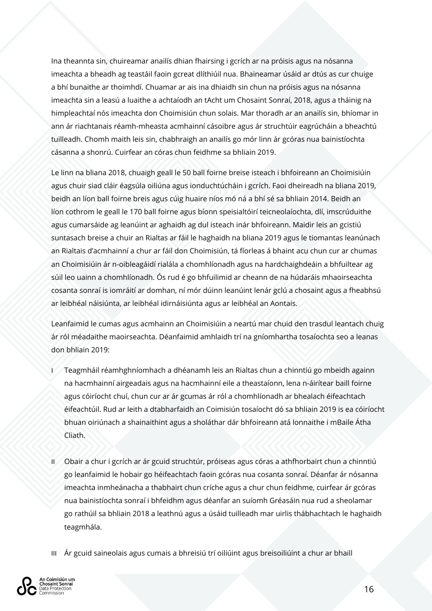Ina theannta sin, chuireamar anailís dhian fhairsing i gcrích ar na próisis agus na nósanna imeachta a bheadh ag teastáil faoin gcreat dlíthiúil nua. Bhaineamar úsáid ar dtús as cur chuige a bhí bunaithe ar thoimhdí. Chuamar ar ais ina dhiaidh sin chun na próisis agus na nósanna imeachta sin a leasú a luaithe a achtaíodh an tAcht um Chosaint Sonraí, 2018, agus a tháinig na himpleachtaí nós imeachta don Choimisiún chun solais. Mar thoradh ar an anailís sin, bhíomar in ann ár riachtanais réamh-mheasta acmhainní cásoibre agus ár struchtúir eagrúcháin a bheachtú tuilleadh. Chomh maith leis sin, chabhraigh an anailís go mór linn ár gcóras nua bainistíochta cásanna a shonrú. Cuirfear an córas chun feidhme sa bhliain 2019.

Le linn na bliana 2018, chuaigh geall le 50 ball foirne breise isteach i bhfoireann an Choimisiúin agus chuir siad cláir éagsúla oiliúna agus ionduchtúcháin i gcrích. Faoi dheireadh na bliana 2019, beidh an líon ball foirne breis agus cúig huaire níos mó ná a bhí sé sa bhliain 2014. Beidh an líon cothrom le geall le 170 ball foirne agus bíonn speisialtóirí teicneolaíochta, dlí, imscrúduithe agus cumarsáide ag leanúint ar aghaidh ag dul isteach inár bhfoireann. Maidir leis an gcistiú suntasach breise a chuir an Rialtas ar fáil le haghaidh na bliana 2019 agus le tiomantas leanúnach an Rialtais d'acmhainní a chur ar fáil don Choimisiún, tá fíorleas á bhaint acu chun cur ar chumas an Choimisiúin ár n-oibleagáidí rialála a chomhlíonadh agus na hardchaighdeáin a bhfuiltear ag súil leo uainn a chomhlíonadh. Ós rud é go bhfuilimid ar cheann de na húdaráis mhaoirseachta cosanta sonraí is iomráití ar domhan, ní mór dúinn leanúint lenár gclú a chosaint agus a fheabhsú ar leibhéal náisiúnta, ar leibhéal idirnáisiúnta agus ar leibhéal an Aontais.

Leanfaimid le cumas agus acmhainn an Choimisiúin a neartú mar chuid den trasdul leantach chuig ár ról méadaithe maoirseachta. Déanfaimid amhlaidh trí na gníomhartha tosaíochta seo a leanas don bhliain 2019:

- I Teagmháil réamhghníomhach a dhéanamh leis an Rialtas chun a chinntiú go mbeidh againn na hacmhainní airgeadais agus na hacmhainní eile a theastaíonn, lena n-áirítear baill foirne agus cóiríocht chuí, chun cur ar ár gcumas ár ról a chomhlíonadh ar bhealach éifeachtach éifeachtúil. Rud ar leith a dtabharfaidh an Coimisiún tosaíocht dó sa bhliain 2019 is ea cóiríocht bhuan oiriúnach a shainaithint agus a sholáthar dár bhfoireann atá lonnaithe i mBaile Átha Cliath.
- II Obair a chur i gcrích ar ár gcuid struchtúr, próiseas agus córas a athfhorbairt chun a chinntiú go leanfaimid le hobair go héifeachtach faoin gcóras nua cosanta sonraí. Déanfar ár nósanna imeachta inmheánacha a thabhairt chun críche agus a chur chun feidhme, cuirfear ár gcóras nua bainistíochta sonraí i bhfeidhm agus déanfar an suíomh Gréasáin nua rud a sheolamar go rathúil sa bhliain 2018 a leathnú agus a úsáid tuilleadh mar uirlis thábhachtach le haghaidh teagmhála.
- III Ár gcuid saineolais agus cumais a bhreisiú trí oiliúint agus breisoiliúint a chur ar bhaill

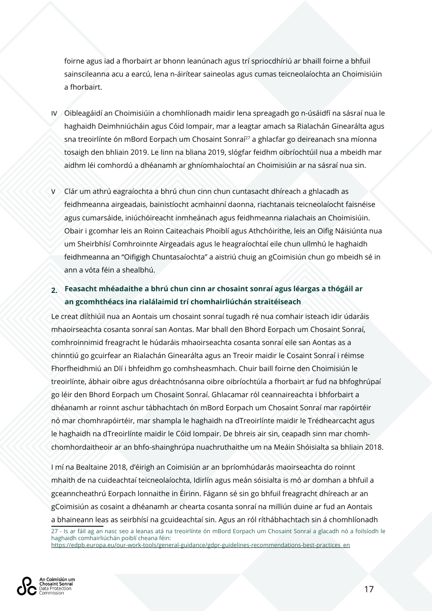foirne agus iad a fhorbairt ar bhonn leanúnach agus trí spriocdhíriú ar bhaill foirne a bhfuil sainscileanna acu a earcú, lena n-áirítear saineolas agus cumas teicneolaíochta an Choimisiúin a fhorbairt.

- IV Oibleagáidí an Choimisiúin a chomhlíonadh maidir lena spreagadh go n-úsáidfí na sásraí nua le haghaidh Deimhniúcháin agus Cóid Iompair, mar a leagtar amach sa Rialachán Ginearálta agus sna treoirlínte ón mBord Eorpach um Chosaint Sonraí<sup>27</sup> a ghlacfar go deireanach sna míonna tosaigh den bhliain 2019. Le linn na bliana 2019, slógfar feidhm oibríochtúil nua a mbeidh mar aidhm léi comhordú a dhéanamh ar ghníomhaíochtaí an Choimisiúin ar na sásraí nua sin.
- V Clár um athrú eagraíochta a bhrú chun cinn chun cuntasacht dhíreach a ghlacadh as feidhmeanna airgeadais, bainistíocht acmhainní daonna, riachtanais teicneolaíocht faisnéise agus cumarsáide, iniúchóireacht inmheánach agus feidhmeanna rialachais an Choimisiúin. Obair i gcomhar leis an Roinn Caiteachais Phoiblí agus Athchóirithe, leis an Oifig Náisiúnta nua um Sheirbhísí Comhroinnte Airgeadais agus le heagraíochtaí eile chun ullmhú le haghaidh feidhmeanna an "Oifigigh Chuntasaíochta" a aistriú chuig an gCoimisiún chun go mbeidh sé in ann a vóta féin a shealbhú.

#### **2. Feasacht mhéadaithe a bhrú chun cinn ar chosaint sonraí agus léargas a thógáil ar an gcomhthéacs ina rialálaimid trí chomhairliúchán straitéiseach**

Le creat dlíthiúil nua an Aontais um chosaint sonraí tugadh ré nua comhair isteach idir údaráis mhaoirseachta cosanta sonraí san Aontas. Mar bhall den Bhord Eorpach um Chosaint Sonraí, comhroinnimid freagracht le húdaráis mhaoirseachta cosanta sonraí eile san Aontas as a chinntiú go gcuirfear an Rialachán Ginearálta agus an Treoir maidir le Cosaint Sonraí i réimse Fhorfheidhmiú an Dlí i bhfeidhm go comhsheasmhach. Chuir baill foirne den Choimisiún le treoirlínte, ábhair oibre agus dréachtnósanna oibre oibríochtúla a fhorbairt ar fud na bhfoghrúpaí go léir den Bhord Eorpach um Chosaint Sonraí. Ghlacamar ról ceannaireachta i bhforbairt a dhéanamh ar roinnt aschur tábhachtach ón mBord Eorpach um Chosaint Sonraí mar rapóirtéir nó mar chomhrapóirtéir, mar shampla le haghaidh na dTreoirlínte maidir le Trédhearcacht agus le haghaidh na dTreoirlínte maidir le Cóid Iompair. De bhreis air sin, ceapadh sinn mar chomhchomhordaitheoir ar an bhfo-shainghrúpa nuachruthaithe um na Meáin Shóisialta sa bhliain 2018.

I mí na Bealtaine 2018, d'éirigh an Coimisiún ar an bpríomhúdarás maoirseachta do roinnt mhaith de na cuideachtaí teicneolaíochta, Idirlín agus meán sóisialta is mó ar domhan a bhfuil a gceanncheathrú Eorpach lonnaithe in Éirinn. Fágann sé sin go bhfuil freagracht dhíreach ar an gCoimisiún as cosaint a dhéanamh ar chearta cosanta sonraí na milliún duine ar fud an Aontais a bhaineann leas as seirbhísí na gcuideachtaí sin. Agus an ról ríthábhachtach sin á chomhlíonadh

<sup>27 -</sup> Is ar fáil ag an nasc seo a leanas atá na treoirlínte ón mBord Eorpach um Chosaint Sonraí a glacadh nó a foilsíodh le haghaidh comhairliúchán poiblí cheana féin: https://edpb.europa.eu/our-work-tools/general-guidance/gdpr-guidelines-recommendations-best-practices\_en

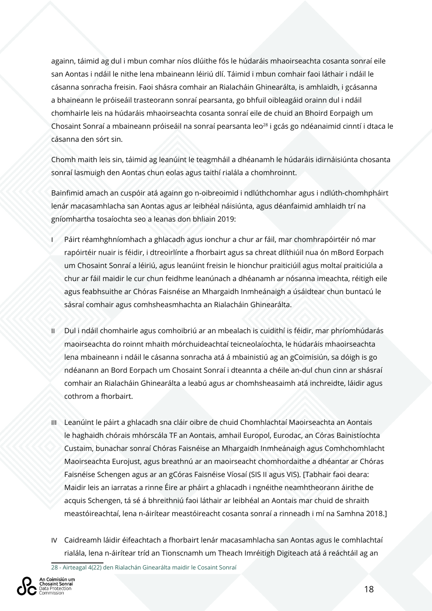againn, táimid ag dul i mbun comhar níos dlúithe fós le húdaráis mhaoirseachta cosanta sonraí eile san Aontas i ndáil le nithe lena mbaineann léiriú dlí. Táimid i mbun comhair faoi láthair i ndáil le cásanna sonracha freisin. Faoi shásra comhair an Rialacháin Ghinearálta, is amhlaidh, i gcásanna a bhaineann le próiseáil trasteorann sonraí pearsanta, go bhfuil oibleagáid orainn dul i ndáil chomhairle leis na húdaráis mhaoirseachta cosanta sonraí eile de chuid an Bhoird Eorpaigh um Chosaint Sonraí a mbaineann próiseáil na sonraí pearsanta leo<sup>28</sup> i gcás go ndéanaimid cinntí i dtaca le cásanna den sórt sin.

Chomh maith leis sin, táimid ag leanúint le teagmháil a dhéanamh le húdaráis idirnáisiúnta chosanta sonraí lasmuigh den Aontas chun eolas agus taithí rialála a chomhroinnt.

Bainfimid amach an cuspóir atá againn go n-oibreoimid i ndlúthchomhar agus i ndlúth-chomhpháirt lenár macasamhlacha san Aontas agus ar leibhéal náisiúnta, agus déanfaimid amhlaidh trí na gníomhartha tosaíochta seo a leanas don bhliain 2019:

- Páirt réamhghníomhach a ghlacadh agus ionchur a chur ar fáil, mar chomhrapóirtéir nó mar rapóirtéir nuair is féidir, i dtreoirlínte a fhorbairt agus sa chreat dlíthiúil nua ón mBord Eorpach um Chosaint Sonraí a léiriú, agus leanúint freisin le hionchur praiticiúil agus moltaí praiticiúla a chur ar fáil maidir le cur chun feidhme leanúnach a dhéanamh ar nósanna imeachta, réitigh eile agus feabhsuithe ar Chóras Faisnéise an Mhargaidh Inmheánaigh a úsáidtear chun buntacú le sásraí comhair agus comhsheasmhachta an Rialacháin Ghinearálta.
- II Dul i ndáil chomhairle agus comhoibriú ar an mbealach is cuidithí is féidir, mar phríomhúdarás maoirseachta do roinnt mhaith mórchuideachtaí teicneolaíochta, le húdaráis mhaoirseachta lena mbaineann i ndáil le cásanna sonracha atá á mbainistiú ag an gCoimisiún, sa dóigh is go ndéanann an Bord Eorpach um Chosaint Sonraí i dteannta a chéile an-dul chun cinn ar shásraí comhair an Rialacháin Ghinearálta a leabú agus ar chomhsheasaimh atá inchreidte, láidir agus cothrom a fhorbairt.
- III Leanúint le páirt a ghlacadh sna cláir oibre de chuid Chomhlachtaí Maoirseachta an Aontais le haghaidh chórais mhórscála TF an Aontais, amhail Europol, Eurodac, an Córas Bainistíochta Custaim, bunachar sonraí Chóras Faisnéise an Mhargaidh Inmheánaigh agus Comhchomhlacht Maoirseachta Eurojust, agus breathnú ar an maoirseacht chomhordaithe a dhéantar ar Chóras Faisnéise Schengen agus ar an gCóras Faisnéise Víosaí (SIS II agus VIS). [Tabhair faoi deara: Maidir leis an iarratas a rinne Éire ar pháirt a ghlacadh i ngnéithe neamhtheorann áirithe de acquis Schengen, tá sé á bhreithniú faoi láthair ar leibhéal an Aontais mar chuid de shraith meastóireachtaí, lena n-áirítear meastóireacht cosanta sonraí a rinneadh i mí na Samhna 2018.]
- IV Caidreamh láidir éifeachtach a fhorbairt lenár macasamhlacha san Aontas agus le comhlachtaí rialála, lena n-áirítear tríd an Tionscnamh um Theach Imréitigh Digiteach atá á reáchtáil ag an

28 - Airteagal 4(22) den Rialachán Ginearálta maidir le Cosaint Sonraí

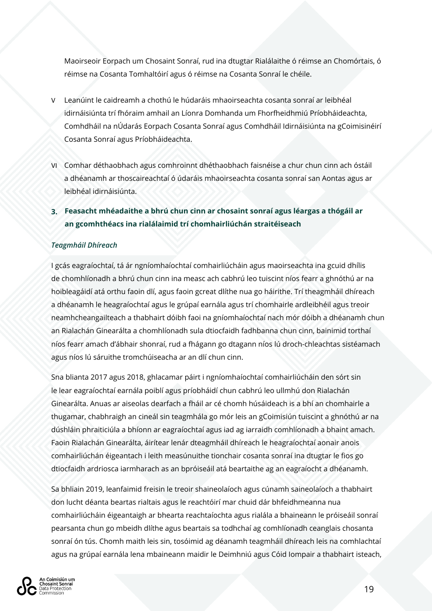Maoirseoir Eorpach um Chosaint Sonraí, rud ina dtugtar Rialálaithe ó réimse an Chomórtais, ó réimse na Cosanta Tomhaltóirí agus ó réimse na Cosanta Sonraí le chéile.

- V Leanúint le caidreamh a chothú le húdaráis mhaoirseachta cosanta sonraí ar leibhéal idirnáisiúnta trí fhóraim amhail an Líonra Domhanda um Fhorfheidhmiú Príobháideachta, Comhdháil na nÚdarás Eorpach Cosanta Sonraí agus Comhdháil Idirnáisiúnta na gCoimisinéirí Cosanta Sonraí agus Príobháideachta.
- VI Comhar déthaobhach agus comhroinnt dhéthaobhach faisnéise a chur chun cinn ach óstáil a dhéanamh ar thoscaireachtaí ó údaráis mhaoirseachta cosanta sonraí san Aontas agus ar leibhéal idirnáisiúnta.
- **3. Feasacht mhéadaithe a bhrú chun cinn ar chosaint sonraí agus léargas a thógáil ar an gcomhthéacs ina rialálaimid trí chomhairliúchán straitéiseach**

#### *Teagmháil Dhíreach*

I gcás eagraíochtaí, tá ár ngníomhaíochtaí comhairliúcháin agus maoirseachta ina gcuid dhílis de chomhlíonadh a bhrú chun cinn ina measc ach cabhrú leo tuiscint níos fearr a ghnóthú ar na hoibleagáidí atá orthu faoin dlí, agus faoin gcreat dlíthe nua go háirithe. Trí theagmháil dhíreach a dhéanamh le heagraíochtaí agus le grúpaí earnála agus trí chomhairle ardleibhéil agus treoir neamhcheangailteach a thabhairt dóibh faoi na gníomhaíochtaí nach mór dóibh a dhéanamh chun an Rialachán Ginearálta a chomhlíonadh sula dtiocfaidh fadhbanna chun cinn, bainimid torthaí níos fearr amach d'ábhair shonraí, rud a fhágann go dtagann níos lú droch-chleachtas sistéamach agus níos lú sáruithe tromchúiseacha ar an dlí chun cinn.

Sna blianta 2017 agus 2018, ghlacamar páirt i ngníomhaíochtaí comhairliúcháin den sórt sin le lear eagraíochtaí earnála poiblí agus príobháidí chun cabhrú leo ullmhú don Rialachán Ginearálta. Anuas ar aiseolas dearfach a fháil ar cé chomh húsáideach is a bhí an chomhairle a thugamar, chabhraigh an cineál sin teagmhála go mór leis an gCoimisiún tuiscint a ghnóthú ar na dúshláin phraiticiúla a bhíonn ar eagraíochtaí agus iad ag iarraidh comhlíonadh a bhaint amach. Faoin Rialachán Ginearálta, áirítear lenár dteagmháil dhíreach le heagraíochtaí aonair anois comhairliúchán éigeantach i leith measúnuithe tionchair cosanta sonraí ina dtugtar le fios go dtiocfaidh ardriosca iarmharach as an bpróiseáil atá beartaithe ag an eagraíocht a dhéanamh.

Sa bhliain 2019, leanfaimid freisin le treoir shaineolaíoch agus cúnamh saineolaíoch a thabhairt don lucht déanta beartas rialtais agus le reachtóirí mar chuid dár bhfeidhmeanna nua comhairliúcháin éigeantaigh ar bhearta reachtaíochta agus rialála a bhaineann le próiseáil sonraí pearsanta chun go mbeidh dlíthe agus beartais sa todhchaí ag comhlíonadh ceanglais chosanta sonraí ón tús. Chomh maith leis sin, tosóimid ag déanamh teagmháil dhíreach leis na comhlachtaí agus na grúpaí earnála lena mbaineann maidir le Deimhniú agus Cóid Iompair a thabhairt isteach,

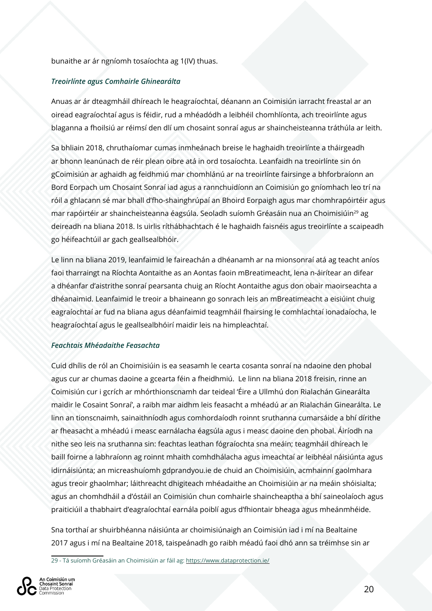#### bunaithe ar ár ngníomh tosaíochta ag 1(IV) thuas.

#### *Treoirlínte agus Comhairle Ghinearálta*

Anuas ar ár dteagmháil dhíreach le heagraíochtaí, déanann an Coimisiún iarracht freastal ar an oiread eagraíochtaí agus is féidir, rud a mhéadódh a leibhéil chomhlíonta, ach treoirlínte agus blaganna a fhoilsiú ar réimsí den dlí um chosaint sonraí agus ar shaincheisteanna tráthúla ar leith.

Sa bhliain 2018, chruthaíomar cumas inmheánach breise le haghaidh treoirlínte a tháirgeadh ar bhonn leanúnach de réir plean oibre atá in ord tosaíochta. Leanfaidh na treoirlínte sin ón gCoimisiún ar aghaidh ag feidhmiú mar chomhlánú ar na treoirlínte fairsinge a bhforbraíonn an Bord Eorpach um Chosaint Sonraí iad agus a rannchuidíonn an Coimisiún go gníomhach leo trí na róil a ghlacann sé mar bhall d'fho-shainghrúpaí an Bhoird Eorpaigh agus mar chomhrapóirtéir agus mar rapóirtéir ar shaincheisteanna éagsúla. Seoladh suíomh Gréasáin nua an Choimisiúin29 ag deireadh na bliana 2018. Is uirlis ríthábhachtach é le haghaidh faisnéis agus treoirlínte a scaipeadh go héifeachtúil ar gach geallsealbhóir.

Le linn na bliana 2019, leanfaimid le faireachán a dhéanamh ar na mionsonraí atá ag teacht aníos faoi tharraingt na Ríochta Aontaithe as an Aontas faoin mBreatimeacht, lena n-áirítear an difear a dhéanfar d'aistrithe sonraí pearsanta chuig an Ríocht Aontaithe agus don obair maoirseachta a dhéanaimid. Leanfaimid le treoir a bhaineann go sonrach leis an mBreatimeacht a eisiúint chuig eagraíochtaí ar fud na bliana agus déanfaimid teagmháil fhairsing le comhlachtaí ionadaíocha, le heagraíochtaí agus le geallsealbhóirí maidir leis na himpleachtaí.

#### *Feachtais Mhéadaithe Feasachta*

Cuid dhílis de ról an Choimisiúin is ea seasamh le cearta cosanta sonraí na ndaoine den phobal agus cur ar chumas daoine a gcearta féin a fheidhmiú. Le linn na bliana 2018 freisin, rinne an Coimisiún cur i gcrích ar mhórthionscnamh dar teideal 'Éire a Ullmhú don Rialachán Ginearálta maidir le Cosaint Sonraí', a raibh mar aidhm leis feasacht a mhéadú ar an Rialachán Ginearálta. Le linn an tionscnaimh, sainaithníodh agus comhordaíodh roinnt sruthanna cumarsáide a bhí dírithe ar fheasacht a mhéadú i measc earnálacha éagsúla agus i measc daoine den phobal. Áiríodh na nithe seo leis na sruthanna sin: feachtas leathan fógraíochta sna meáin; teagmháil dhíreach le baill foirne a labhraíonn ag roinnt mhaith comhdhálacha agus imeachtaí ar leibhéal náisiúnta agus idirnáisiúnta; an micreashuíomh gdprandyou.ie de chuid an Choimisiúin, acmhainní gaolmhara agus treoir ghaolmhar; láithreacht dhigiteach mhéadaithe an Choimisiúin ar na meáin shóisialta; agus an chomhdháil a d'óstáil an Coimisiún chun comhairle shaincheaptha a bhí saineolaíoch agus praiticiúil a thabhairt d'eagraíochtaí earnála poiblí agus d'fhiontair bheaga agus mheánmhéide.

Sna torthaí ar shuirbhéanna náisiúnta ar choimisiúnaigh an Coimisiún iad i mí na Bealtaine 2017 agus i mí na Bealtaine 2018, taispeánadh go raibh méadú faoi dhó ann sa tréimhse sin ar

Coimisiún um

<sup>29 -</sup> Tá suíomh Gréasáin an Choimisiúin ar fáil ag: https://www.dataprotection.ie/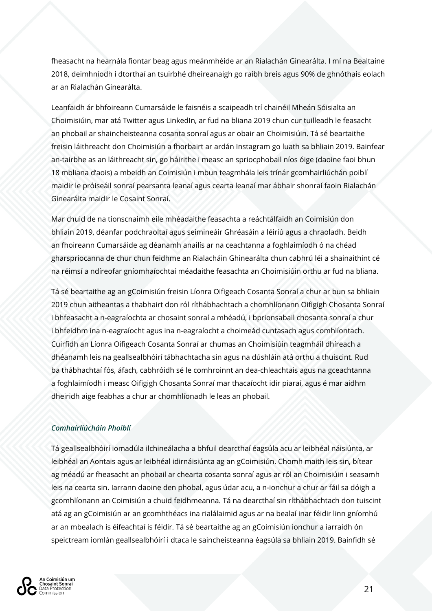fheasacht na hearnála fiontar beag agus meánmhéide ar an Rialachán Ginearálta. I mí na Bealtaine 2018, deimhníodh i dtorthaí an tsuirbhé dheireanaigh go raibh breis agus 90% de ghnóthais eolach ar an Rialachán Ginearálta.

Leanfaidh ár bhfoireann Cumarsáide le faisnéis a scaipeadh trí chainéil Mheán Sóisialta an Choimisiúin, mar atá Twitter agus LinkedIn, ar fud na bliana 2019 chun cur tuilleadh le feasacht an phobail ar shaincheisteanna cosanta sonraí agus ar obair an Choimisiúin. Tá sé beartaithe freisin láithreacht don Choimisiún a fhorbairt ar ardán Instagram go luath sa bhliain 2019. Bainfear an-tairbhe as an láithreacht sin, go háirithe i measc an spriocphobail níos óige (daoine faoi bhun 18 mbliana d'aois) a mbeidh an Coimisiún i mbun teagmhála leis trínár gcomhairliúchán poiblí maidir le próiseáil sonraí pearsanta leanaí agus cearta leanaí mar ábhair shonraí faoin Rialachán Ginearálta maidir le Cosaint Sonraí.

Mar chuid de na tionscnaimh eile mhéadaithe feasachta a reáchtálfaidh an Coimisiún don bhliain 2019, déanfar podchraoltaí agus seimineáir Ghréasáin a léiriú agus a chraoladh. Beidh an fhoireann Cumarsáide ag déanamh anailís ar na ceachtanna a foghlaimíodh ó na chéad gharspriocanna de chur chun feidhme an Rialacháin Ghinearálta chun cabhrú léi a shainaithint cé na réimsí a ndíreofar gníomhaíochtaí méadaithe feasachta an Choimisiúin orthu ar fud na bliana.

Tá sé beartaithe ag an gCoimisiún freisin Líonra Oifigeach Cosanta Sonraí a chur ar bun sa bhliain 2019 chun aitheantas a thabhairt don ról ríthábhachtach a chomhlíonann Oifigigh Chosanta Sonraí i bhfeasacht a n-eagraíochta ar chosaint sonraí a mhéadú, i bprionsabail chosanta sonraí a chur i bhfeidhm ina n-eagraíocht agus ina n-eagraíocht a choimeád cuntasach agus comhlíontach. Cuirfidh an Líonra Oifigeach Cosanta Sonraí ar chumas an Choimisiúin teagmháil dhíreach a dhéanamh leis na geallsealbhóirí tábhachtacha sin agus na dúshláin atá orthu a thuiscint. Rud ba thábhachtaí fós, áfach, cabhróidh sé le comhroinnt an dea-chleachtais agus na gceachtanna a foghlaimíodh i measc Oifigigh Chosanta Sonraí mar thacaíocht idir piaraí, agus é mar aidhm dheiridh aige feabhas a chur ar chomhlíonadh le leas an phobail.

#### *Comhairliúcháin Phoiblí*

Tá geallsealbhóirí iomadúla ilchineálacha a bhfuil dearcthaí éagsúla acu ar leibhéal náisiúnta, ar leibhéal an Aontais agus ar leibhéal idirnáisiúnta ag an gCoimisiún. Chomh maith leis sin, bítear ag méadú ar fheasacht an phobail ar chearta cosanta sonraí agus ar ról an Choimisiúin i seasamh leis na cearta sin. Iarrann daoine den phobal, agus údar acu, a n-ionchur a chur ar fáil sa dóigh a gcomhlíonann an Coimisiún a chuid feidhmeanna. Tá na dearcthaí sin ríthábhachtach don tuiscint atá ag an gCoimisiún ar an gcomhthéacs ina rialálaimid agus ar na bealaí inar féidir linn gníomhú ar an mbealach is éifeachtaí is féidir. Tá sé beartaithe ag an gCoimisiún ionchur a iarraidh ón speictream iomlán geallsealbhóirí i dtaca le saincheisteanna éagsúla sa bhliain 2019. Bainfidh sé

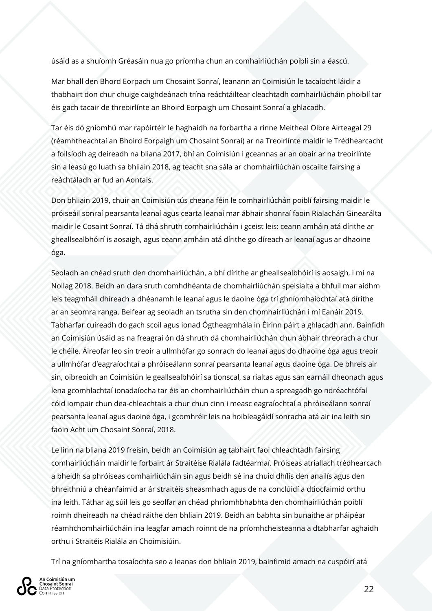úsáid as a shuíomh Gréasáin nua go príomha chun an comhairliúchán poiblí sin a éascú.

Mar bhall den Bhord Eorpach um Chosaint Sonraí, leanann an Coimisiún le tacaíocht láidir a thabhairt don chur chuige caighdeánach trína reáchtáiltear cleachtadh comhairliúcháin phoiblí tar éis gach tacair de threoirlínte an Bhoird Eorpaigh um Chosaint Sonraí a ghlacadh.

Tar éis dó gníomhú mar rapóirtéir le haghaidh na forbartha a rinne Meitheal Oibre Airteagal 29 (réamhtheachtaí an Bhoird Eorpaigh um Chosaint Sonraí) ar na Treoirlínte maidir le Trédhearcacht a foilsíodh ag deireadh na bliana 2017, bhí an Coimisiún i gceannas ar an obair ar na treoirlínte sin a leasú go luath sa bhliain 2018, ag teacht sna sála ar chomhairliúchán oscailte fairsing a reáchtáladh ar fud an Aontais.

Don bhliain 2019, chuir an Coimisiún tús cheana féin le comhairliúchán poiblí fairsing maidir le próiseáil sonraí pearsanta leanaí agus cearta leanaí mar ábhair shonraí faoin Rialachán Ginearálta maidir le Cosaint Sonraí. Tá dhá shruth comhairliúcháin i gceist leis: ceann amháin atá dírithe ar gheallsealbhóirí is aosaigh, agus ceann amháin atá dírithe go díreach ar leanaí agus ar dhaoine óga.

Seoladh an chéad sruth den chomhairliúchán, a bhí dírithe ar gheallsealbhóirí is aosaigh, i mí na Nollag 2018. Beidh an dara sruth comhdhéanta de chomhairliúchán speisialta a bhfuil mar aidhm leis teagmháil dhíreach a dhéanamh le leanaí agus le daoine óga trí ghníomhaíochtaí atá dírithe ar an seomra ranga. Beifear ag seoladh an tsrutha sin den chomhairliúchán i mí Eanáir 2019. Tabharfar cuireadh do gach scoil agus ionad Ógtheagmhála in Éirinn páirt a ghlacadh ann. Bainfidh an Coimisiún úsáid as na freagraí ón dá shruth dá chomhairliúchán chun ábhair threorach a chur le chéile. Áireofar leo sin treoir a ullmhófar go sonrach do leanaí agus do dhaoine óga agus treoir a ullmhófar d'eagraíochtaí a phróiseálann sonraí pearsanta leanaí agus daoine óga. De bhreis air sin, oibreoidh an Coimisiún le geallsealbhóirí sa tionscal, sa rialtas agus san earnáil dheonach agus lena gcomhlachtaí ionadaíocha tar éis an chomhairliúcháin chun a spreagadh go ndréachtófaí cóid iompair chun dea-chleachtais a chur chun cinn i measc eagraíochtaí a phróiseálann sonraí pearsanta leanaí agus daoine óga, i gcomhréir leis na hoibleagáidí sonracha atá air ina leith sin faoin Acht um Chosaint Sonraí, 2018.

Le linn na bliana 2019 freisin, beidh an Coimisiún ag tabhairt faoi chleachtadh fairsing comhairliúcháin maidir le forbairt ár Straitéise Rialála fadtéarmaí. Próiseas atriallach trédhearcach a bheidh sa phróiseas comhairliúcháin sin agus beidh sé ina chuid dhílis den anailís agus den bhreithniú a dhéanfaimid ar ár straitéis sheasmhach agus de na conclúidí a dtiocfaimid orthu ina leith. Táthar ag súil leis go seolfar an chéad phríomhbhabhta den chomhairliúchán poiblí roimh dheireadh na chéad ráithe den bhliain 2019. Beidh an babhta sin bunaithe ar pháipéar réamhchomhairliúcháin ina leagfar amach roinnt de na príomhcheisteanna a dtabharfar aghaidh orthu i Straitéis Rialála an Choimisiúin.

Trí na gníomhartha tosaíochta seo a leanas don bhliain 2019, bainfimid amach na cuspóirí atá

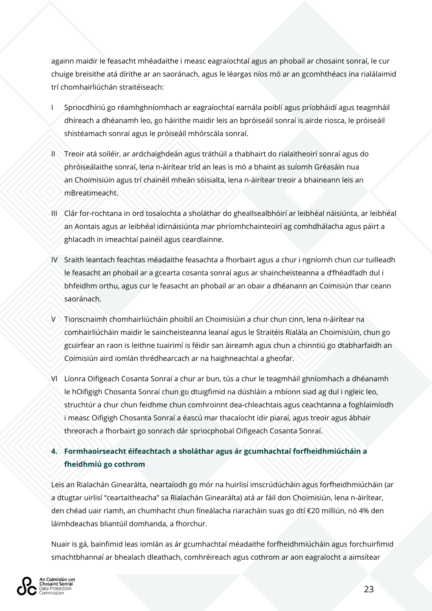againn maidir le feasacht mhéadaithe i measc eagraíochtaí agus an phobail ar chosaint sonraí, le cur chuige breisithe atá dírithe ar an saoránach, agus le léargas níos mó ar an gcomhthéacs ina rialálaimid trí chomhairliúchán straitéiseach:

- I Spriocdhíriú go réamhghníomhach ar eagraíochtaí earnála poiblí agus príobháidí agus teagmháil dhíreach a dhéanamh leo, go háirithe maidir leis an bpróiseáil sonraí is airde riosca, le próiseáil shistéamach sonraí agus le próiseáil mhórscála sonraí.
- II Treoir atá soiléir, ar ardchaighdeán agus tráthúil a thabhairt do rialaitheoirí sonraí agus do phróiseálaithe sonraí, lena n-áirítear tríd an leas is mó a bhaint as suíomh Gréasáin nua an Choimisiúin agus trí chainéil mheán sóisialta, lena n-áirítear treoir a bhaineann leis an mBreatimeacht.
- III Clár for-rochtana in ord tosaíochta a sholáthar do gheallsealbhóirí ar leibhéal náisiúnta, ar leibhéal an Aontais agus ar leibhéal idirnáisiúnta mar phríomhchainteoirí ag comhdhálacha agus páirt a ghlacadh in imeachtaí painéil agus ceardlainne.
- IV Sraith leantach feachtas méadaithe feasachta a fhorbairt agus a chur i ngníomh chun cur tuilleadh le feasacht an phobail ar a gcearta cosanta sonraí agus ar shaincheisteanna a d'fhéadfadh dul i bhfeidhm orthu, agus cur le feasacht an phobail ar an obair a dhéanann an Coimisiún thar ceann saoránach.
- V Tionscnaimh chomhairliúcháin phoiblí an Choimisiúin a chur chun cinn, lena n-áirítear na comhairliúcháin maidir le saincheisteanna leanaí agus le Straitéis Rialála an Choimisiúin, chun go gcuirfear an raon is leithne tuairimí is féidir san áireamh agus chun a chinntiú go dtabharfaidh an Coimisiún aird iomlán thrédhearcach ar na haighneachtaí a gheofar.
- VI Líonra Oifigeach Cosanta Sonraí a chur ar bun, tús a chur le teagmháil ghníomhach a dhéanamh le hOifigigh Chosanta Sonraí chun go dtuigfimid na dúshláin a mbíonn siad ag dul i ngleic leo, struchtúr a chur chun feidhme chun comhroinnt dea-chleachtais agus ceachtanna a foghlaimíodh i measc Oifigigh Chosanta Sonraí a éascú mar thacaíocht idir piaraí, agus treoir agus ábhair threorach a fhorbairt go sonrach dár spriocphobal Oifigeach Cosanta Sonraí.

#### **4. Formhaoirseacht éifeachtach a sholáthar agus ár gcumhachtaí forfheidhmiúcháin a fheidhmiú go cothrom**

Leis an Rialachán Ginearálta, neartaíodh go mór na huirlisí imscrúdúcháin agus forfheidhmiúcháin (ar a dtugtar uirlisí "ceartaitheacha" sa Rialachán Ginearálta) atá ar fáil don Choimisiún, lena n-áirítear, den chéad uair riamh, an chumhacht chun fíneálacha riaracháin suas go dtí €20 milliún, nó 4% den láimhdeachas bliantúil domhanda, a fhorchur.

Nuair is gá, bainfimid leas iomlán as ár gcumhachtaí méadaithe forfheidhmiúcháin agus forchuirfimid smachtbhannaí ar bhealach dleathach, comhréireach agus cothrom ar aon eagraíocht a aimsítear

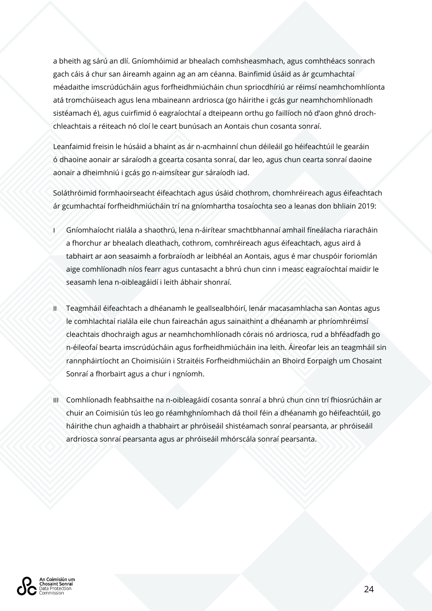a bheith ag sárú an dlí. Gníomhóimid ar bhealach comhsheasmhach, agus comhthéacs sonrach gach cáis á chur san áireamh againn ag an am céanna. Bainfimid úsáid as ár gcumhachtaí méadaithe imscrúdúcháin agus forfheidhmiúcháin chun spriocdhíriú ar réimsí neamhchomhlíonta atá tromchúiseach agus lena mbaineann ardriosca (go háirithe i gcás gur neamhchomhlíonadh sistéamach é), agus cuirfimid ó eagraíochtaí a dteipeann orthu go faillíoch nó d'aon ghnó drochchleachtais a réiteach nó cloí le ceart bunúsach an Aontais chun cosanta sonraí.

Leanfaimid freisin le húsáid a bhaint as ár n-acmhainní chun déileáil go héifeachtúil le gearáin ó dhaoine aonair ar sáraíodh a gcearta cosanta sonraí, dar leo, agus chun cearta sonraí daoine aonair a dheimhniú i gcás go n-aimsítear gur sáraíodh iad.

Soláthróimid formhaoirseacht éifeachtach agus úsáid chothrom, chomhréireach agus éifeachtach ár gcumhachtaí forfheidhmiúcháin trí na gníomhartha tosaíochta seo a leanas don bhliain 2019:

- I Gníomhaíocht rialála a shaothrú, lena n-áirítear smachtbhannaí amhail fíneálacha riaracháin a fhorchur ar bhealach dleathach, cothrom, comhréireach agus éifeachtach, agus aird á tabhairt ar aon seasaimh a forbraíodh ar leibhéal an Aontais, agus é mar chuspóir foriomlán aige comhlíonadh níos fearr agus cuntasacht a bhrú chun cinn i measc eagraíochtaí maidir le seasamh lena n-oibleagáidí i leith ábhair shonraí.
- II Teagmháil éifeachtach a dhéanamh le geallsealbhóirí, lenár macasamhlacha san Aontas agus le comhlachtaí rialála eile chun faireachán agus sainaithint a dhéanamh ar phríomhréimsí cleachtais dhochraigh agus ar neamhchomhlíonadh córais nó ardriosca, rud a bhféadfadh go n-éileofaí bearta imscrúdúcháin agus forfheidhmiúcháin ina leith. Áireofar leis an teagmháil sin rannpháirtíocht an Choimisiúin i Straitéis Forfheidhmiúcháin an Bhoird Eorpaigh um Chosaint Sonraí a fhorbairt agus a chur i ngníomh.
- III Comhlíonadh feabhsaithe na n-oibleagáidí cosanta sonraí a bhrú chun cinn trí fhiosrúcháin ar chuir an Coimisiún tús leo go réamhghníomhach dá thoil féin a dhéanamh go héifeachtúil, go háirithe chun aghaidh a thabhairt ar phróiseáil shistéamach sonraí pearsanta, ar phróiseáil ardriosca sonraí pearsanta agus ar phróiseáil mhórscála sonraí pearsanta.

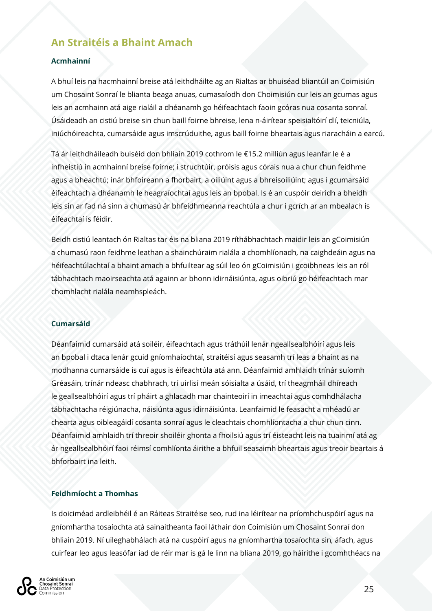# **An Straitéis a Bhaint Amach**

#### **Acmhainní**

A bhuí leis na hacmhainní breise atá leithdháilte ag an Rialtas ar bhuiséad bliantúil an Coimisiún um Chosaint Sonraí le blianta beaga anuas, cumasaíodh don Choimisiún cur leis an gcumas agus leis an acmhainn atá aige rialáil a dhéanamh go héifeachtach faoin gcóras nua cosanta sonraí. Úsáideadh an cistiú breise sin chun baill foirne bhreise, lena n-áirítear speisialtóirí dlí, teicniúla, iniúchóireachta, cumarsáide agus imscrúduithe, agus baill foirne bheartais agus riaracháin a earcú.

Tá ár leithdháileadh buiséid don bhliain 2019 cothrom le €15.2 milliún agus leanfar le é a infheistiú in acmhainní breise foirne; i struchtúir, próisis agus córais nua a chur chun feidhme agus a bheachtú; inár bhfoireann a fhorbairt, a oiliúint agus a bhreisoiliúint; agus i gcumarsáid éifeachtach a dhéanamh le heagraíochtaí agus leis an bpobal. Is é an cuspóir deiridh a bheidh leis sin ar fad ná sinn a chumasú ár bhfeidhmeanna reachtúla a chur i gcrích ar an mbealach is éifeachtaí is féidir.

Beidh cistiú leantach ón Rialtas tar éis na bliana 2019 ríthábhachtach maidir leis an gCoimisiún a chumasú raon feidhme leathan a shainchúraim rialála a chomhlíonadh, na caighdeáin agus na héifeachtúlachtaí a bhaint amach a bhfuiltear ag súil leo ón gCoimisiún i gcoibhneas leis an ról tábhachtach maoirseachta atá againn ar bhonn idirnáisiúnta, agus oibriú go héifeachtach mar chomhlacht rialála neamhspleách.

#### **Cumarsáid**

Déanfaimid cumarsáid atá soiléir, éifeachtach agus tráthúil lenár ngeallsealbhóirí agus leis an bpobal i dtaca lenár gcuid gníomhaíochtaí, straitéisí agus seasamh trí leas a bhaint as na modhanna cumarsáide is cuí agus is éifeachtúla atá ann. Déanfaimid amhlaidh trínár suíomh Gréasáin, trínár ndeasc chabhrach, trí uirlisí meán sóisialta a úsáid, trí theagmháil dhíreach le geallsealbhóirí agus trí pháirt a ghlacadh mar chainteoirí in imeachtaí agus comhdhálacha tábhachtacha réigiúnacha, náisiúnta agus idirnáisiúnta. Leanfaimid le feasacht a mhéadú ar chearta agus oibleagáidí cosanta sonraí agus le cleachtais chomhlíontacha a chur chun cinn. Déanfaimid amhlaidh trí threoir shoiléir ghonta a fhoilsiú agus trí éisteacht leis na tuairimí atá ag ár ngeallsealbhóirí faoi réimsí comhlíonta áirithe a bhfuil seasaimh bheartais agus treoir beartais á bhforbairt ina leith.

#### **Feidhmíocht a Thomhas**

Is doiciméad ardleibhéil é an Ráiteas Straitéise seo, rud ina léirítear na príomhchuspóirí agus na gníomhartha tosaíochta atá sainaitheanta faoi láthair don Coimisiún um Chosaint Sonraí don bhliain 2019. Ní uileghabhálach atá na cuspóirí agus na gníomhartha tosaíochta sin, áfach, agus cuirfear leo agus leasófar iad de réir mar is gá le linn na bliana 2019, go háirithe i gcomhthéacs na